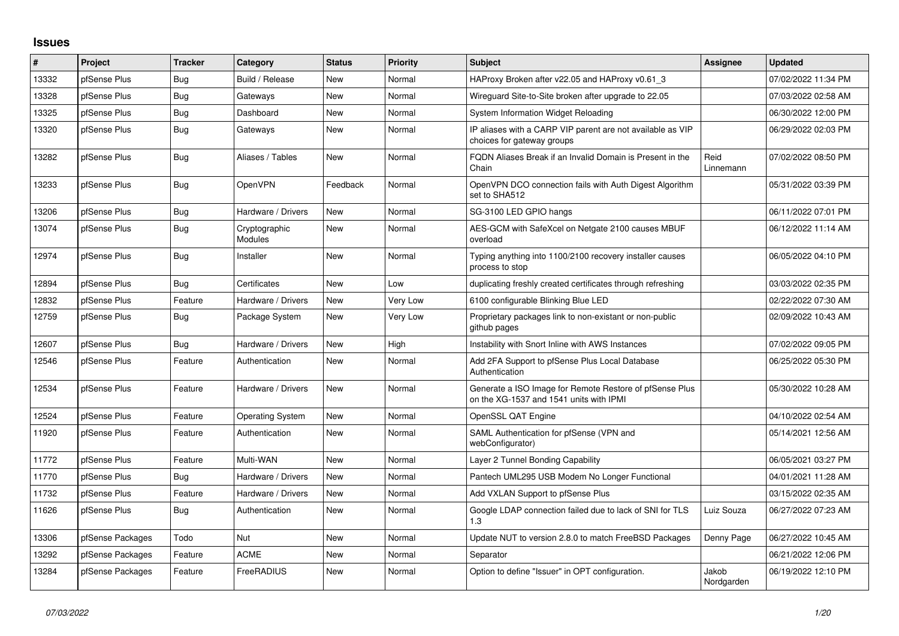## **Issues**

| ∦     | Project          | <b>Tracker</b> | Category                 | <b>Status</b> | <b>Priority</b> | <b>Subject</b>                                                                                     | Assignee            | Updated             |
|-------|------------------|----------------|--------------------------|---------------|-----------------|----------------------------------------------------------------------------------------------------|---------------------|---------------------|
| 13332 | pfSense Plus     | Bug            | Build / Release          | <b>New</b>    | Normal          | HAProxy Broken after v22.05 and HAProxy v0.61 3                                                    |                     | 07/02/2022 11:34 PM |
| 13328 | pfSense Plus     | <b>Bug</b>     | Gateways                 | <b>New</b>    | Normal          | Wireguard Site-to-Site broken after upgrade to 22.05                                               |                     | 07/03/2022 02:58 AM |
| 13325 | pfSense Plus     | Bug            | Dashboard                | <b>New</b>    | Normal          | System Information Widget Reloading                                                                |                     | 06/30/2022 12:00 PM |
| 13320 | pfSense Plus     | <b>Bug</b>     | Gateways                 | <b>New</b>    | Normal          | IP aliases with a CARP VIP parent are not available as VIP<br>choices for gateway groups           |                     | 06/29/2022 02:03 PM |
| 13282 | pfSense Plus     | Bug            | Aliases / Tables         | <b>New</b>    | Normal          | FQDN Aliases Break if an Invalid Domain is Present in the<br>Chain                                 | Reid<br>Linnemann   | 07/02/2022 08:50 PM |
| 13233 | pfSense Plus     | <b>Bug</b>     | OpenVPN                  | Feedback      | Normal          | OpenVPN DCO connection fails with Auth Digest Algorithm<br>set to SHA512                           |                     | 05/31/2022 03:39 PM |
| 13206 | pfSense Plus     | Bug            | Hardware / Drivers       | <b>New</b>    | Normal          | SG-3100 LED GPIO hangs                                                                             |                     | 06/11/2022 07:01 PM |
| 13074 | pfSense Plus     | Bug            | Cryptographic<br>Modules | <b>New</b>    | Normal          | AES-GCM with SafeXcel on Netgate 2100 causes MBUF<br>overload                                      |                     | 06/12/2022 11:14 AM |
| 12974 | pfSense Plus     | Bug            | Installer                | <b>New</b>    | Normal          | Typing anything into 1100/2100 recovery installer causes<br>process to stop                        |                     | 06/05/2022 04:10 PM |
| 12894 | pfSense Plus     | Bug            | Certificates             | <b>New</b>    | Low             | duplicating freshly created certificates through refreshing                                        |                     | 03/03/2022 02:35 PM |
| 12832 | pfSense Plus     | Feature        | Hardware / Drivers       | <b>New</b>    | Very Low        | 6100 configurable Blinking Blue LED                                                                |                     | 02/22/2022 07:30 AM |
| 12759 | pfSense Plus     | Bug            | Package System           | <b>New</b>    | Very Low        | Proprietary packages link to non-existant or non-public<br>github pages                            |                     | 02/09/2022 10:43 AM |
| 12607 | pfSense Plus     | Bug            | Hardware / Drivers       | <b>New</b>    | High            | Instability with Snort Inline with AWS Instances                                                   |                     | 07/02/2022 09:05 PM |
| 12546 | pfSense Plus     | Feature        | Authentication           | <b>New</b>    | Normal          | Add 2FA Support to pfSense Plus Local Database<br>Authentication                                   |                     | 06/25/2022 05:30 PM |
| 12534 | pfSense Plus     | Feature        | Hardware / Drivers       | <b>New</b>    | Normal          | Generate a ISO Image for Remote Restore of pfSense Plus<br>on the XG-1537 and 1541 units with IPMI |                     | 05/30/2022 10:28 AM |
| 12524 | pfSense Plus     | Feature        | <b>Operating System</b>  | <b>New</b>    | Normal          | OpenSSL QAT Engine                                                                                 |                     | 04/10/2022 02:54 AM |
| 11920 | pfSense Plus     | Feature        | Authentication           | <b>New</b>    | Normal          | SAML Authentication for pfSense (VPN and<br>webConfigurator)                                       |                     | 05/14/2021 12:56 AM |
| 11772 | pfSense Plus     | Feature        | Multi-WAN                | <b>New</b>    | Normal          | Layer 2 Tunnel Bonding Capability                                                                  |                     | 06/05/2021 03:27 PM |
| 11770 | pfSense Plus     | Bug            | Hardware / Drivers       | <b>New</b>    | Normal          | Pantech UML295 USB Modem No Longer Functional                                                      |                     | 04/01/2021 11:28 AM |
| 11732 | pfSense Plus     | Feature        | Hardware / Drivers       | <b>New</b>    | Normal          | Add VXLAN Support to pfSense Plus                                                                  |                     | 03/15/2022 02:35 AM |
| 11626 | pfSense Plus     | <b>Bug</b>     | Authentication           | <b>New</b>    | Normal          | Google LDAP connection failed due to lack of SNI for TLS<br>1.3                                    | Luiz Souza          | 06/27/2022 07:23 AM |
| 13306 | pfSense Packages | Todo           | Nut                      | <b>New</b>    | Normal          | Update NUT to version 2.8.0 to match FreeBSD Packages                                              | Denny Page          | 06/27/2022 10:45 AM |
| 13292 | pfSense Packages | Feature        | <b>ACME</b>              | <b>New</b>    | Normal          | Separator                                                                                          |                     | 06/21/2022 12:06 PM |
| 13284 | pfSense Packages | Feature        | FreeRADIUS               | New           | Normal          | Option to define "Issuer" in OPT configuration.                                                    | Jakob<br>Nordgarden | 06/19/2022 12:10 PM |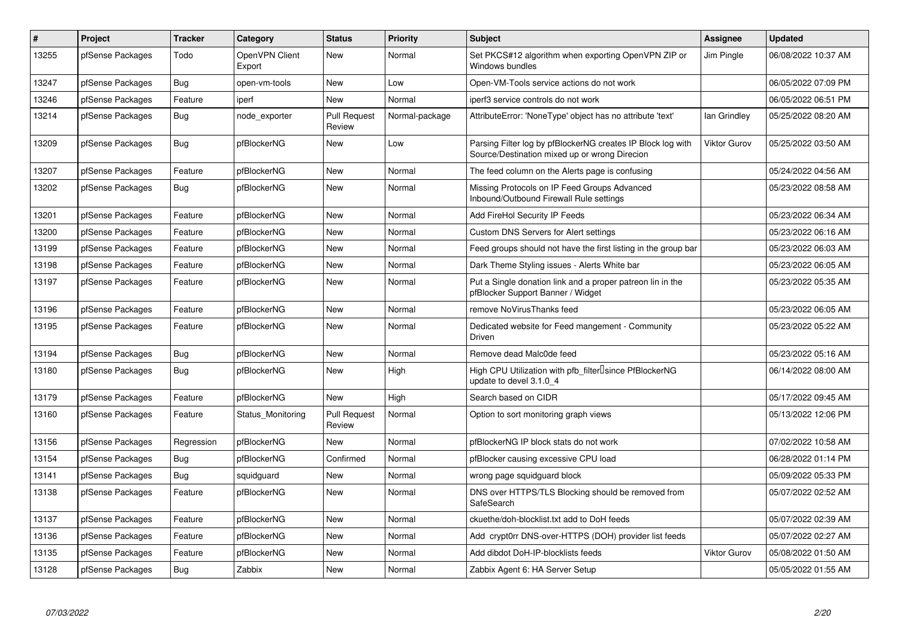| #     | Project          | <b>Tracker</b> | Category                 | <b>Status</b>                 | <b>Priority</b> | <b>Subject</b>                                                                                               | Assignee            | <b>Updated</b>      |
|-------|------------------|----------------|--------------------------|-------------------------------|-----------------|--------------------------------------------------------------------------------------------------------------|---------------------|---------------------|
| 13255 | pfSense Packages | Todo           | OpenVPN Client<br>Export | <b>New</b>                    | Normal          | Set PKCS#12 algorithm when exporting OpenVPN ZIP or<br>Windows bundles                                       | Jim Pingle          | 06/08/2022 10:37 AM |
| 13247 | pfSense Packages | Bug            | open-vm-tools            | New                           | Low             | Open-VM-Tools service actions do not work                                                                    |                     | 06/05/2022 07:09 PM |
| 13246 | pfSense Packages | Feature        | iperf                    | <b>New</b>                    | Normal          | iperf3 service controls do not work                                                                          |                     | 06/05/2022 06:51 PM |
| 13214 | pfSense Packages | Bug            | node exporter            | <b>Pull Request</b><br>Review | Normal-package  | AttributeError: 'NoneType' object has no attribute 'text'                                                    | lan Grindley        | 05/25/2022 08:20 AM |
| 13209 | pfSense Packages | Bug            | pfBlockerNG              | <b>New</b>                    | Low             | Parsing Filter log by pfBlockerNG creates IP Block log with<br>Source/Destination mixed up or wrong Direcion | <b>Viktor Gurov</b> | 05/25/2022 03:50 AM |
| 13207 | pfSense Packages | Feature        | pfBlockerNG              | New                           | Normal          | The feed column on the Alerts page is confusing                                                              |                     | 05/24/2022 04:56 AM |
| 13202 | pfSense Packages | <b>Bug</b>     | pfBlockerNG              | <b>New</b>                    | Normal          | Missing Protocols on IP Feed Groups Advanced<br>Inbound/Outbound Firewall Rule settings                      |                     | 05/23/2022 08:58 AM |
| 13201 | pfSense Packages | Feature        | pfBlockerNG              | New                           | Normal          | Add FireHol Security IP Feeds                                                                                |                     | 05/23/2022 06:34 AM |
| 13200 | pfSense Packages | Feature        | pfBlockerNG              | <b>New</b>                    | Normal          | Custom DNS Servers for Alert settings                                                                        |                     | 05/23/2022 06:16 AM |
| 13199 | pfSense Packages | Feature        | pfBlockerNG              | New                           | Normal          | Feed groups should not have the first listing in the group bar                                               |                     | 05/23/2022 06:03 AM |
| 13198 | pfSense Packages | Feature        | pfBlockerNG              | <b>New</b>                    | Normal          | Dark Theme Styling issues - Alerts White bar                                                                 |                     | 05/23/2022 06:05 AM |
| 13197 | pfSense Packages | Feature        | pfBlockerNG              | New                           | Normal          | Put a Single donation link and a proper patreon lin in the<br>pfBlocker Support Banner / Widget              |                     | 05/23/2022 05:35 AM |
| 13196 | pfSense Packages | Feature        | pfBlockerNG              | <b>New</b>                    | Normal          | remove NoVirusThanks feed                                                                                    |                     | 05/23/2022 06:05 AM |
| 13195 | pfSense Packages | Feature        | pfBlockerNG              | <b>New</b>                    | Normal          | Dedicated website for Feed mangement - Community<br>Driven                                                   |                     | 05/23/2022 05:22 AM |
| 13194 | pfSense Packages | <b>Bug</b>     | pfBlockerNG              | <b>New</b>                    | Normal          | Remove dead Malc0de feed                                                                                     |                     | 05/23/2022 05:16 AM |
| 13180 | pfSense Packages | <b>Bug</b>     | pfBlockerNG              | <b>New</b>                    | High            | High CPU Utilization with pfb_filter <sup>[]</sup> since PfBlockerNG<br>update to devel 3.1.0 4              |                     | 06/14/2022 08:00 AM |
| 13179 | pfSense Packages | Feature        | pfBlockerNG              | <b>New</b>                    | High            | Search based on CIDR                                                                                         |                     | 05/17/2022 09:45 AM |
| 13160 | pfSense Packages | Feature        | Status Monitoring        | <b>Pull Request</b><br>Review | Normal          | Option to sort monitoring graph views                                                                        |                     | 05/13/2022 12:06 PM |
| 13156 | pfSense Packages | Regression     | pfBlockerNG              | New                           | Normal          | pfBlockerNG IP block stats do not work                                                                       |                     | 07/02/2022 10:58 AM |
| 13154 | pfSense Packages | Bug            | pfBlockerNG              | Confirmed                     | Normal          | pfBlocker causing excessive CPU load                                                                         |                     | 06/28/2022 01:14 PM |
| 13141 | pfSense Packages | <b>Bug</b>     | squidguard               | <b>New</b>                    | Normal          | wrong page squidguard block                                                                                  |                     | 05/09/2022 05:33 PM |
| 13138 | pfSense Packages | Feature        | pfBlockerNG              | New                           | Normal          | DNS over HTTPS/TLS Blocking should be removed from<br>SafeSearch                                             |                     | 05/07/2022 02:52 AM |
| 13137 | pfSense Packages | Feature        | pfBlockerNG              | <b>New</b>                    | Normal          | ckuethe/doh-blocklist.txt add to DoH feeds                                                                   |                     | 05/07/2022 02:39 AM |
| 13136 | pfSense Packages | Feature        | pfBlockerNG              | <b>New</b>                    | Normal          | Add crypt0rr DNS-over-HTTPS (DOH) provider list feeds                                                        |                     | 05/07/2022 02:27 AM |
| 13135 | pfSense Packages | Feature        | pfBlockerNG              | New                           | Normal          | Add dibdot DoH-IP-blocklists feeds                                                                           | Viktor Gurov        | 05/08/2022 01:50 AM |
| 13128 | pfSense Packages | Bug            | Zabbix                   | New                           | Normal          | Zabbix Agent 6: HA Server Setup                                                                              |                     | 05/05/2022 01:55 AM |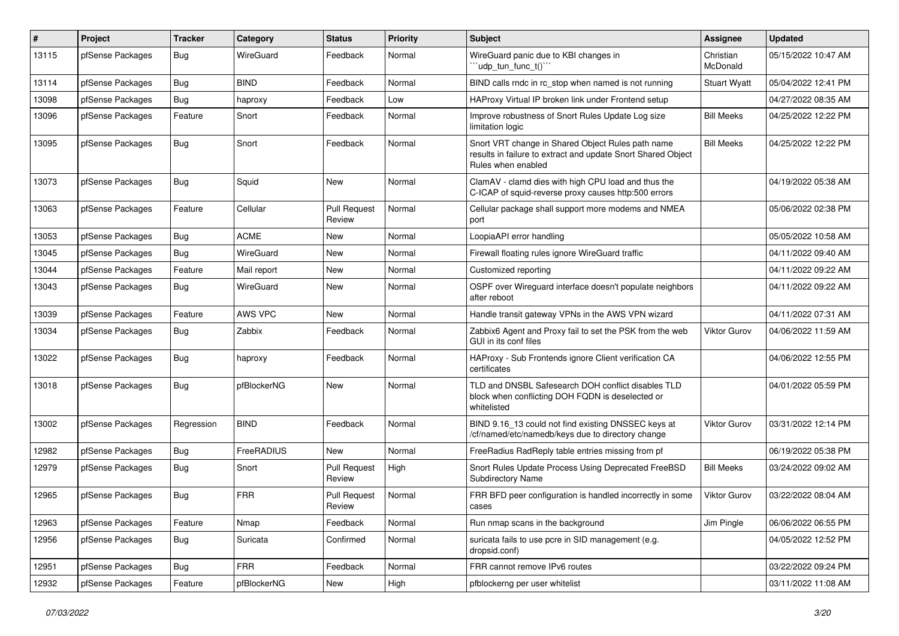| ∦     | Project          | <b>Tracker</b> | Category    | <b>Status</b>                 | <b>Priority</b> | <b>Subject</b>                                                                                                                          | Assignee              | <b>Updated</b>      |
|-------|------------------|----------------|-------------|-------------------------------|-----------------|-----------------------------------------------------------------------------------------------------------------------------------------|-----------------------|---------------------|
| 13115 | pfSense Packages | <b>Bug</b>     | WireGuard   | Feedback                      | Normal          | WireGuard panic due to KBI changes in<br>"udp_tun_func_t()"                                                                             | Christian<br>McDonald | 05/15/2022 10:47 AM |
| 13114 | pfSense Packages | <b>Bug</b>     | <b>BIND</b> | Feedback                      | Normal          | BIND calls rndc in rc stop when named is not running                                                                                    | <b>Stuart Wyatt</b>   | 05/04/2022 12:41 PM |
| 13098 | pfSense Packages | Bug            | haproxy     | Feedback                      | Low             | HAProxy Virtual IP broken link under Frontend setup                                                                                     |                       | 04/27/2022 08:35 AM |
| 13096 | pfSense Packages | Feature        | Snort       | Feedback                      | Normal          | Improve robustness of Snort Rules Update Log size<br>limitation logic                                                                   | <b>Bill Meeks</b>     | 04/25/2022 12:22 PM |
| 13095 | pfSense Packages | Bug            | Snort       | Feedback                      | Normal          | Snort VRT change in Shared Object Rules path name<br>results in failure to extract and update Snort Shared Object<br>Rules when enabled | <b>Bill Meeks</b>     | 04/25/2022 12:22 PM |
| 13073 | pfSense Packages | <b>Bug</b>     | Squid       | <b>New</b>                    | Normal          | ClamAV - clamd dies with high CPU load and thus the<br>C-ICAP of squid-reverse proxy causes http:500 errors                             |                       | 04/19/2022 05:38 AM |
| 13063 | pfSense Packages | Feature        | Cellular    | <b>Pull Request</b><br>Review | Normal          | Cellular package shall support more modems and NMEA<br>port                                                                             |                       | 05/06/2022 02:38 PM |
| 13053 | pfSense Packages | <b>Bug</b>     | <b>ACME</b> | <b>New</b>                    | Normal          | LoopiaAPI error handling                                                                                                                |                       | 05/05/2022 10:58 AM |
| 13045 | pfSense Packages | Bug            | WireGuard   | <b>New</b>                    | Normal          | Firewall floating rules ignore WireGuard traffic                                                                                        |                       | 04/11/2022 09:40 AM |
| 13044 | pfSense Packages | Feature        | Mail report | <b>New</b>                    | Normal          | Customized reporting                                                                                                                    |                       | 04/11/2022 09:22 AM |
| 13043 | pfSense Packages | <b>Bug</b>     | WireGuard   | <b>New</b>                    | Normal          | OSPF over Wireguard interface doesn't populate neighbors<br>after reboot                                                                |                       | 04/11/2022 09:22 AM |
| 13039 | pfSense Packages | Feature        | AWS VPC     | New                           | Normal          | Handle transit gateway VPNs in the AWS VPN wizard                                                                                       |                       | 04/11/2022 07:31 AM |
| 13034 | pfSense Packages | Bug            | Zabbix      | Feedback                      | Normal          | Zabbix6 Agent and Proxy fail to set the PSK from the web<br>GUI in its conf files                                                       | <b>Viktor Gurov</b>   | 04/06/2022 11:59 AM |
| 13022 | pfSense Packages | <b>Bug</b>     | haproxy     | Feedback                      | Normal          | HAProxy - Sub Frontends ignore Client verification CA<br>certificates                                                                   |                       | 04/06/2022 12:55 PM |
| 13018 | pfSense Packages | Bug            | pfBlockerNG | New                           | Normal          | TLD and DNSBL Safesearch DOH conflict disables TLD<br>block when conflicting DOH FQDN is deselected or<br>whitelisted                   |                       | 04/01/2022 05:59 PM |
| 13002 | pfSense Packages | Regression     | <b>BIND</b> | Feedback                      | Normal          | BIND 9.16_13 could not find existing DNSSEC keys at<br>/cf/named/etc/namedb/keys due to directory change                                | <b>Viktor Gurov</b>   | 03/31/2022 12:14 PM |
| 12982 | pfSense Packages | <b>Bug</b>     | FreeRADIUS  | New                           | Normal          | FreeRadius RadReply table entries missing from pf                                                                                       |                       | 06/19/2022 05:38 PM |
| 12979 | pfSense Packages | Bug            | Snort       | <b>Pull Request</b><br>Review | High            | Snort Rules Update Process Using Deprecated FreeBSD<br><b>Subdirectory Name</b>                                                         | <b>Bill Meeks</b>     | 03/24/2022 09:02 AM |
| 12965 | pfSense Packages | <b>Bug</b>     | <b>FRR</b>  | <b>Pull Request</b><br>Review | Normal          | FRR BFD peer configuration is handled incorrectly in some<br>cases                                                                      | <b>Viktor Gurov</b>   | 03/22/2022 08:04 AM |
| 12963 | pfSense Packages | Feature        | Nmap        | Feedback                      | Normal          | Run nmap scans in the background                                                                                                        | Jim Pingle            | 06/06/2022 06:55 PM |
| 12956 | pfSense Packages | <b>Bug</b>     | Suricata    | Confirmed                     | Normal          | suricata fails to use pcre in SID management (e.g.<br>dropsid.conf)                                                                     |                       | 04/05/2022 12:52 PM |
| 12951 | pfSense Packages | <b>Bug</b>     | <b>FRR</b>  | Feedback                      | Normal          | FRR cannot remove IPv6 routes                                                                                                           |                       | 03/22/2022 09:24 PM |
| 12932 | pfSense Packages | Feature        | pfBlockerNG | New                           | High            | pfblockerng per user whitelist                                                                                                          |                       | 03/11/2022 11:08 AM |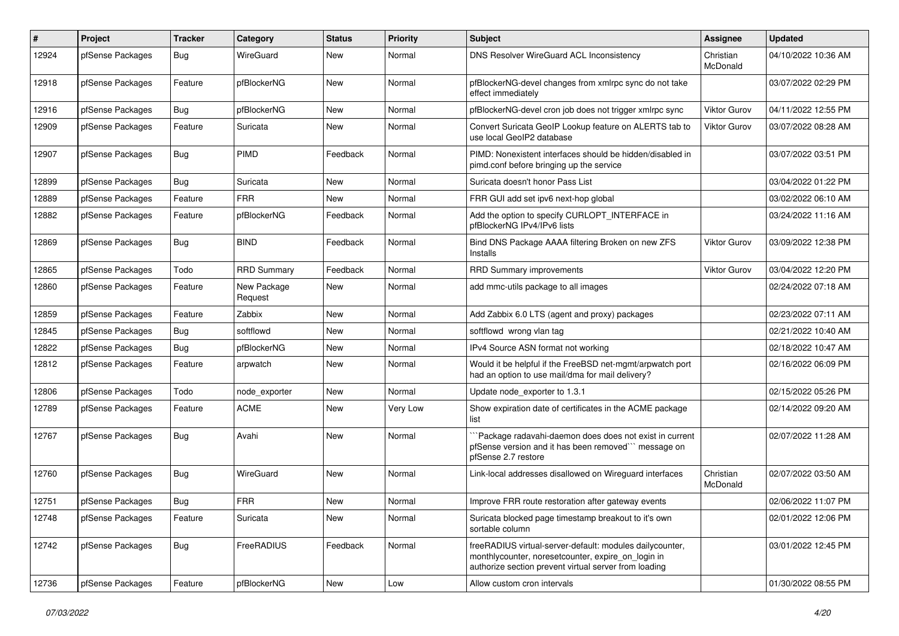| #     | Project          | Tracker    | Category               | <b>Status</b> | <b>Priority</b> | Subject                                                                                                                                                                 | <b>Assignee</b>       | <b>Updated</b>      |
|-------|------------------|------------|------------------------|---------------|-----------------|-------------------------------------------------------------------------------------------------------------------------------------------------------------------------|-----------------------|---------------------|
| 12924 | pfSense Packages | <b>Bug</b> | WireGuard              | <b>New</b>    | Normal          | DNS Resolver WireGuard ACL Inconsistency                                                                                                                                | Christian<br>McDonald | 04/10/2022 10:36 AM |
| 12918 | pfSense Packages | Feature    | pfBlockerNG            | <b>New</b>    | Normal          | pfBlockerNG-devel changes from xmlrpc sync do not take<br>effect immediately                                                                                            |                       | 03/07/2022 02:29 PM |
| 12916 | pfSense Packages | <b>Bug</b> | pfBlockerNG            | <b>New</b>    | Normal          | pfBlockerNG-devel cron job does not trigger xmlrpc sync                                                                                                                 | <b>Viktor Gurov</b>   | 04/11/2022 12:55 PM |
| 12909 | pfSense Packages | Feature    | Suricata               | New           | Normal          | Convert Suricata GeoIP Lookup feature on ALERTS tab to<br>use local GeoIP2 database                                                                                     | Viktor Gurov          | 03/07/2022 08:28 AM |
| 12907 | pfSense Packages | Bug        | PIMD                   | Feedback      | Normal          | PIMD: Nonexistent interfaces should be hidden/disabled in<br>pimd.conf before bringing up the service                                                                   |                       | 03/07/2022 03:51 PM |
| 12899 | pfSense Packages | <b>Bug</b> | Suricata               | <b>New</b>    | Normal          | Suricata doesn't honor Pass List                                                                                                                                        |                       | 03/04/2022 01:22 PM |
| 12889 | pfSense Packages | Feature    | <b>FRR</b>             | <b>New</b>    | Normal          | FRR GUI add set ipv6 next-hop global                                                                                                                                    |                       | 03/02/2022 06:10 AM |
| 12882 | pfSense Packages | Feature    | pfBlockerNG            | Feedback      | Normal          | Add the option to specify CURLOPT_INTERFACE in<br>pfBlockerNG IPv4/IPv6 lists                                                                                           |                       | 03/24/2022 11:16 AM |
| 12869 | pfSense Packages | <b>Bug</b> | <b>BIND</b>            | Feedback      | Normal          | Bind DNS Package AAAA filtering Broken on new ZFS<br>Installs                                                                                                           | <b>Viktor Gurov</b>   | 03/09/2022 12:38 PM |
| 12865 | pfSense Packages | Todo       | <b>RRD Summary</b>     | Feedback      | Normal          | <b>RRD Summary improvements</b>                                                                                                                                         | <b>Viktor Gurov</b>   | 03/04/2022 12:20 PM |
| 12860 | pfSense Packages | Feature    | New Package<br>Request | <b>New</b>    | Normal          | add mmc-utils package to all images                                                                                                                                     |                       | 02/24/2022 07:18 AM |
| 12859 | pfSense Packages | Feature    | Zabbix                 | New           | Normal          | Add Zabbix 6.0 LTS (agent and proxy) packages                                                                                                                           |                       | 02/23/2022 07:11 AM |
| 12845 | pfSense Packages | Bug        | softflowd              | <b>New</b>    | Normal          | softflowd wrong vlan tag                                                                                                                                                |                       | 02/21/2022 10:40 AM |
| 12822 | pfSense Packages | <b>Bug</b> | pfBlockerNG            | <b>New</b>    | Normal          | IPv4 Source ASN format not working                                                                                                                                      |                       | 02/18/2022 10:47 AM |
| 12812 | pfSense Packages | Feature    | arpwatch               | New           | Normal          | Would it be helpful if the FreeBSD net-mgmt/arpwatch port<br>had an option to use mail/dma for mail delivery?                                                           |                       | 02/16/2022 06:09 PM |
| 12806 | pfSense Packages | Todo       | node exporter          | <b>New</b>    | Normal          | Update node exporter to 1.3.1                                                                                                                                           |                       | 02/15/2022 05:26 PM |
| 12789 | pfSense Packages | Feature    | <b>ACME</b>            | <b>New</b>    | Very Low        | Show expiration date of certificates in the ACME package<br>list                                                                                                        |                       | 02/14/2022 09:20 AM |
| 12767 | pfSense Packages | <b>Bug</b> | Avahi                  | New           | Normal          | `Package radavahi-daemon does does not exist in current<br>pfSense version and it has been removed"" message on<br>pfSense 2.7 restore                                  |                       | 02/07/2022 11:28 AM |
| 12760 | pfSense Packages | Bug        | WireGuard              | New           | Normal          | Link-local addresses disallowed on Wireguard interfaces                                                                                                                 | Christian<br>McDonald | 02/07/2022 03:50 AM |
| 12751 | pfSense Packages | Bug        | <b>FRR</b>             | New           | Normal          | Improve FRR route restoration after gateway events                                                                                                                      |                       | 02/06/2022 11:07 PM |
| 12748 | pfSense Packages | Feature    | Suricata               | New           | Normal          | Suricata blocked page timestamp breakout to it's own<br>sortable column                                                                                                 |                       | 02/01/2022 12:06 PM |
| 12742 | pfSense Packages | <b>Bug</b> | FreeRADIUS             | Feedback      | Normal          | freeRADIUS virtual-server-default: modules dailycounter,<br>monthlycounter, noresetcounter, expire_on_login in<br>authorize section prevent virtual server from loading |                       | 03/01/2022 12:45 PM |
| 12736 | pfSense Packages | Feature    | pfBlockerNG            | New           | Low             | Allow custom cron intervals                                                                                                                                             |                       | 01/30/2022 08:55 PM |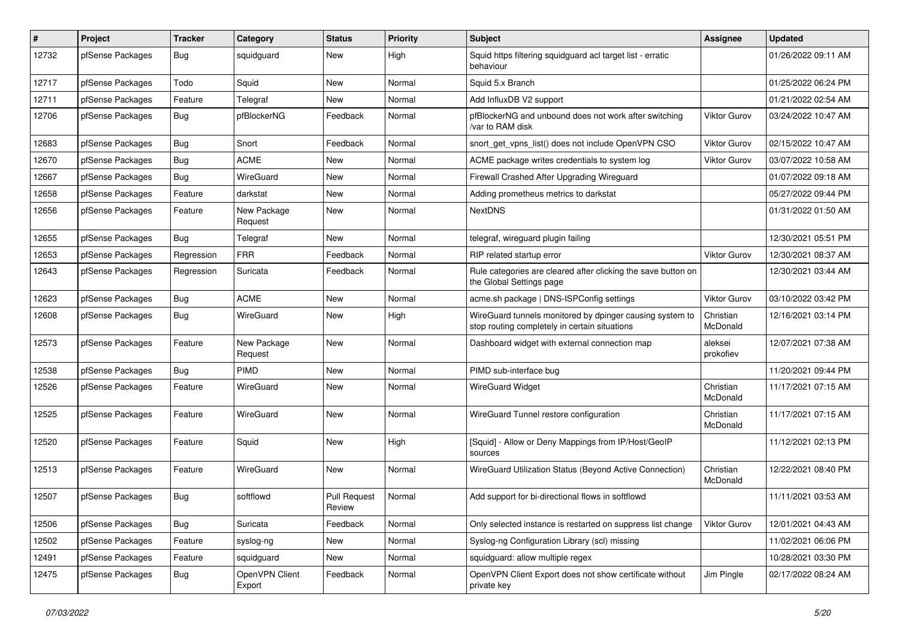| #     | Project          | <b>Tracker</b> | Category                 | <b>Status</b>                 | Priority | <b>Subject</b>                                                                                            | <b>Assignee</b>       | <b>Updated</b>      |
|-------|------------------|----------------|--------------------------|-------------------------------|----------|-----------------------------------------------------------------------------------------------------------|-----------------------|---------------------|
| 12732 | pfSense Packages | <b>Bug</b>     | squidguard               | New                           | High     | Squid https filtering squidguard acl target list - erratic<br>behaviour                                   |                       | 01/26/2022 09:11 AM |
| 12717 | pfSense Packages | Todo           | Squid                    | New                           | Normal   | Squid 5.x Branch                                                                                          |                       | 01/25/2022 06:24 PM |
| 12711 | pfSense Packages | Feature        | Telegraf                 | New                           | Normal   | Add InfluxDB V2 support                                                                                   |                       | 01/21/2022 02:54 AM |
| 12706 | pfSense Packages | <b>Bug</b>     | pfBlockerNG              | Feedback                      | Normal   | pfBlockerNG and unbound does not work after switching<br>/var to RAM disk                                 | <b>Viktor Gurov</b>   | 03/24/2022 10:47 AM |
| 12683 | pfSense Packages | <b>Bug</b>     | Snort                    | Feedback                      | Normal   | snort_get_vpns_list() does not include OpenVPN CSO                                                        | <b>Viktor Gurov</b>   | 02/15/2022 10:47 AM |
| 12670 | pfSense Packages | <b>Bug</b>     | <b>ACME</b>              | <b>New</b>                    | Normal   | ACME package writes credentials to system log                                                             | Viktor Gurov          | 03/07/2022 10:58 AM |
| 12667 | pfSense Packages | Bug            | WireGuard                | <b>New</b>                    | Normal   | Firewall Crashed After Upgrading Wireguard                                                                |                       | 01/07/2022 09:18 AM |
| 12658 | pfSense Packages | Feature        | darkstat                 | <b>New</b>                    | Normal   | Adding prometheus metrics to darkstat                                                                     |                       | 05/27/2022 09:44 PM |
| 12656 | pfSense Packages | Feature        | New Package<br>Request   | New                           | Normal   | <b>NextDNS</b>                                                                                            |                       | 01/31/2022 01:50 AM |
| 12655 | pfSense Packages | Bug            | Telegraf                 | <b>New</b>                    | Normal   | telegraf, wireguard plugin failing                                                                        |                       | 12/30/2021 05:51 PM |
| 12653 | pfSense Packages | Regression     | <b>FRR</b>               | Feedback                      | Normal   | RIP related startup error                                                                                 | Viktor Gurov          | 12/30/2021 08:37 AM |
| 12643 | pfSense Packages | Regression     | Suricata                 | Feedback                      | Normal   | Rule categories are cleared after clicking the save button on<br>the Global Settings page                 |                       | 12/30/2021 03:44 AM |
| 12623 | pfSense Packages | Bug            | <b>ACME</b>              | New                           | Normal   | acme.sh package   DNS-ISPConfig settings                                                                  | <b>Viktor Gurov</b>   | 03/10/2022 03:42 PM |
| 12608 | pfSense Packages | <b>Bug</b>     | WireGuard                | <b>New</b>                    | High     | WireGuard tunnels monitored by dpinger causing system to<br>stop routing completely in certain situations | Christian<br>McDonald | 12/16/2021 03:14 PM |
| 12573 | pfSense Packages | Feature        | New Package<br>Request   | <b>New</b>                    | Normal   | Dashboard widget with external connection map                                                             | aleksei<br>prokofiev  | 12/07/2021 07:38 AM |
| 12538 | pfSense Packages | <b>Bug</b>     | <b>PIMD</b>              | New                           | Normal   | PIMD sub-interface bug                                                                                    |                       | 11/20/2021 09:44 PM |
| 12526 | pfSense Packages | Feature        | WireGuard                | New                           | Normal   | <b>WireGuard Widget</b>                                                                                   | Christian<br>McDonald | 11/17/2021 07:15 AM |
| 12525 | pfSense Packages | Feature        | WireGuard                | <b>New</b>                    | Normal   | WireGuard Tunnel restore configuration                                                                    | Christian<br>McDonald | 11/17/2021 07:15 AM |
| 12520 | pfSense Packages | Feature        | Squid                    | <b>New</b>                    | High     | [Squid] - Allow or Deny Mappings from IP/Host/GeoIP<br>sources                                            |                       | 11/12/2021 02:13 PM |
| 12513 | pfSense Packages | Feature        | WireGuard                | <b>New</b>                    | Normal   | WireGuard Utilization Status (Beyond Active Connection)                                                   | Christian<br>McDonald | 12/22/2021 08:40 PM |
| 12507 | pfSense Packages | <b>Bug</b>     | softflowd                | <b>Pull Request</b><br>Review | Normal   | Add support for bi-directional flows in softflowd                                                         |                       | 11/11/2021 03:53 AM |
| 12506 | pfSense Packages | Bug            | Suricata                 | Feedback                      | Normal   | Only selected instance is restarted on suppress list change                                               | <b>Viktor Gurov</b>   | 12/01/2021 04:43 AM |
| 12502 | pfSense Packages | Feature        | syslog-ng                | New                           | Normal   | Syslog-ng Configuration Library (scl) missing                                                             |                       | 11/02/2021 06:06 PM |
| 12491 | pfSense Packages | Feature        | squidguard               | New                           | Normal   | squidguard: allow multiple regex                                                                          |                       | 10/28/2021 03:30 PM |
| 12475 | pfSense Packages | <b>Bug</b>     | OpenVPN Client<br>Export | Feedback                      | Normal   | OpenVPN Client Export does not show certificate without<br>private key                                    | Jim Pingle            | 02/17/2022 08:24 AM |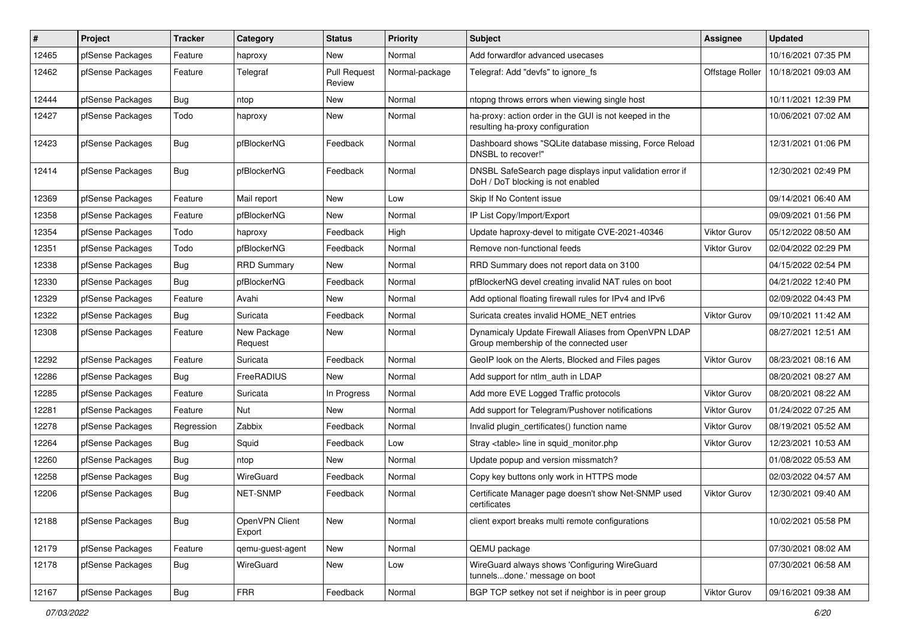| #     | Project          | <b>Tracker</b> | Category                 | <b>Status</b>                 | <b>Priority</b> | <b>Subject</b>                                                                                 | Assignee            | <b>Updated</b>      |
|-------|------------------|----------------|--------------------------|-------------------------------|-----------------|------------------------------------------------------------------------------------------------|---------------------|---------------------|
| 12465 | pfSense Packages | Feature        | haproxy                  | New                           | Normal          | Add forwardfor advanced usecases                                                               |                     | 10/16/2021 07:35 PM |
| 12462 | pfSense Packages | Feature        | Telegraf                 | <b>Pull Request</b><br>Review | Normal-package  | Telegraf: Add "devfs" to ignore fs                                                             | Offstage Roller     | 10/18/2021 09:03 AM |
| 12444 | pfSense Packages | Bug            | ntop                     | New                           | Normal          | ntopng throws errors when viewing single host                                                  |                     | 10/11/2021 12:39 PM |
| 12427 | pfSense Packages | Todo           | haproxy                  | <b>New</b>                    | Normal          | ha-proxy: action order in the GUI is not keeped in the<br>resulting ha-proxy configuration     |                     | 10/06/2021 07:02 AM |
| 12423 | pfSense Packages | <b>Bug</b>     | pfBlockerNG              | Feedback                      | Normal          | Dashboard shows "SQLite database missing, Force Reload<br>DNSBL to recover!"                   |                     | 12/31/2021 01:06 PM |
| 12414 | pfSense Packages | Bug            | pfBlockerNG              | Feedback                      | Normal          | DNSBL SafeSearch page displays input validation error if<br>DoH / DoT blocking is not enabled  |                     | 12/30/2021 02:49 PM |
| 12369 | pfSense Packages | Feature        | Mail report              | <b>New</b>                    | Low             | Skip If No Content issue                                                                       |                     | 09/14/2021 06:40 AM |
| 12358 | pfSense Packages | Feature        | pfBlockerNG              | New                           | Normal          | IP List Copy/Import/Export                                                                     |                     | 09/09/2021 01:56 PM |
| 12354 | pfSense Packages | Todo           | haproxy                  | Feedback                      | High            | Update haproxy-devel to mitigate CVE-2021-40346                                                | Viktor Gurov        | 05/12/2022 08:50 AM |
| 12351 | pfSense Packages | Todo           | pfBlockerNG              | Feedback                      | Normal          | Remove non-functional feeds                                                                    | <b>Viktor Gurov</b> | 02/04/2022 02:29 PM |
| 12338 | pfSense Packages | Bug            | <b>RRD Summary</b>       | <b>New</b>                    | Normal          | RRD Summary does not report data on 3100                                                       |                     | 04/15/2022 02:54 PM |
| 12330 | pfSense Packages | <b>Bug</b>     | pfBlockerNG              | Feedback                      | Normal          | pfBlockerNG devel creating invalid NAT rules on boot                                           |                     | 04/21/2022 12:40 PM |
| 12329 | pfSense Packages | Feature        | Avahi                    | New                           | Normal          | Add optional floating firewall rules for IPv4 and IPv6                                         |                     | 02/09/2022 04:43 PM |
| 12322 | pfSense Packages | Bug            | Suricata                 | Feedback                      | Normal          | Suricata creates invalid HOME NET entries                                                      | Viktor Gurov        | 09/10/2021 11:42 AM |
| 12308 | pfSense Packages | Feature        | New Package<br>Request   | New                           | Normal          | Dynamicaly Update Firewall Aliases from OpenVPN LDAP<br>Group membership of the connected user |                     | 08/27/2021 12:51 AM |
| 12292 | pfSense Packages | Feature        | Suricata                 | Feedback                      | Normal          | GeoIP look on the Alerts, Blocked and Files pages                                              | Viktor Gurov        | 08/23/2021 08:16 AM |
| 12286 | pfSense Packages | <b>Bug</b>     | FreeRADIUS               | New                           | Normal          | Add support for ntlm auth in LDAP                                                              |                     | 08/20/2021 08:27 AM |
| 12285 | pfSense Packages | Feature        | Suricata                 | In Progress                   | Normal          | Add more EVE Logged Traffic protocols                                                          | Viktor Gurov        | 08/20/2021 08:22 AM |
| 12281 | pfSense Packages | Feature        | <b>Nut</b>               | New                           | Normal          | Add support for Telegram/Pushover notifications                                                | <b>Viktor Gurov</b> | 01/24/2022 07:25 AM |
| 12278 | pfSense Packages | Regression     | Zabbix                   | Feedback                      | Normal          | Invalid plugin_certificates() function name                                                    | <b>Viktor Gurov</b> | 08/19/2021 05:52 AM |
| 12264 | pfSense Packages | Bug            | Squid                    | Feedback                      | Low             | Stray <table> line in squid monitor.php</table>                                                | Viktor Gurov        | 12/23/2021 10:53 AM |
| 12260 | pfSense Packages | <b>Bug</b>     | ntop                     | New                           | Normal          | Update popup and version missmatch?                                                            |                     | 01/08/2022 05:53 AM |
| 12258 | pfSense Packages | Bug            | WireGuard                | Feedback                      | Normal          | Copy key buttons only work in HTTPS mode                                                       |                     | 02/03/2022 04:57 AM |
| 12206 | pfSense Packages | Bug            | <b>NET-SNMP</b>          | Feedback                      | Normal          | Certificate Manager page doesn't show Net-SNMP used<br>certificates                            | Viktor Gurov        | 12/30/2021 09:40 AM |
| 12188 | pfSense Packages | Bug            | OpenVPN Client<br>Export | New                           | Normal          | client export breaks multi remote configurations                                               |                     | 10/02/2021 05:58 PM |
| 12179 | pfSense Packages | Feature        | qemu-guest-agent         | New                           | Normal          | QEMU package                                                                                   |                     | 07/30/2021 08:02 AM |
| 12178 | pfSense Packages | <b>Bug</b>     | WireGuard                | New                           | Low             | WireGuard always shows 'Configuring WireGuard<br>tunnelsdone.' message on boot                 |                     | 07/30/2021 06:58 AM |
| 12167 | pfSense Packages | <b>Bug</b>     | <b>FRR</b>               | Feedback                      | Normal          | BGP TCP setkey not set if neighbor is in peer group                                            | Viktor Gurov        | 09/16/2021 09:38 AM |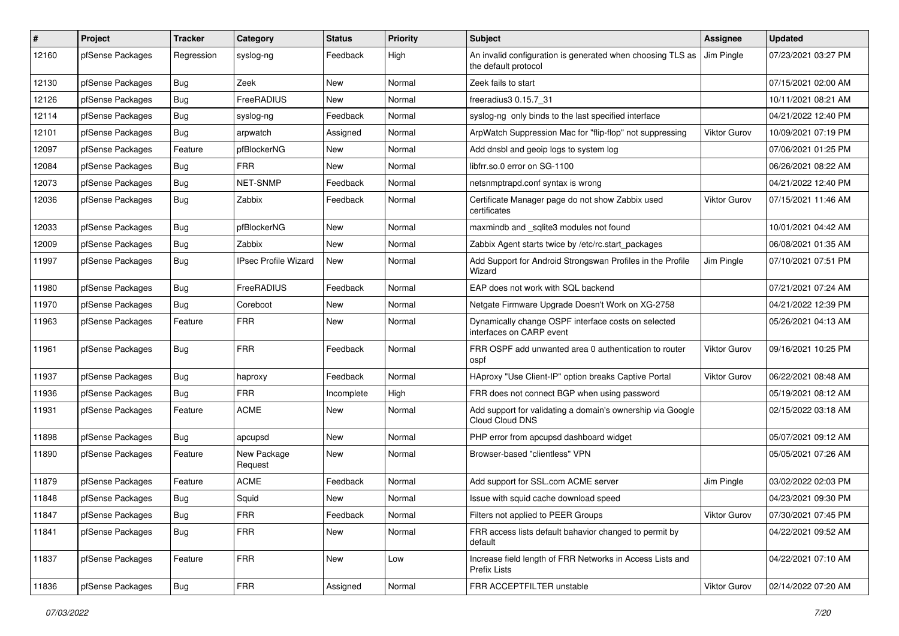| $\#$  | <b>Project</b>   | Tracker    | Category                    | <b>Status</b> | Priority | Subject                                                                            | Assignee            | <b>Updated</b>      |
|-------|------------------|------------|-----------------------------|---------------|----------|------------------------------------------------------------------------------------|---------------------|---------------------|
| 12160 | pfSense Packages | Regression | syslog-ng                   | Feedback      | High     | An invalid configuration is generated when choosing TLS as<br>the default protocol | Jim Pingle          | 07/23/2021 03:27 PM |
| 12130 | pfSense Packages | Bug        | Zeek                        | <b>New</b>    | Normal   | Zeek fails to start                                                                |                     | 07/15/2021 02:00 AM |
| 12126 | pfSense Packages | <b>Bug</b> | FreeRADIUS                  | <b>New</b>    | Normal   | freeradius3 0.15.7 31                                                              |                     | 10/11/2021 08:21 AM |
| 12114 | pfSense Packages | Bug        | syslog-ng                   | Feedback      | Normal   | syslog-ng only binds to the last specified interface                               |                     | 04/21/2022 12:40 PM |
| 12101 | pfSense Packages | Bug        | arpwatch                    | Assigned      | Normal   | ArpWatch Suppression Mac for "flip-flop" not suppressing                           | <b>Viktor Gurov</b> | 10/09/2021 07:19 PM |
| 12097 | pfSense Packages | Feature    | pfBlockerNG                 | <b>New</b>    | Normal   | Add dnsbl and geoip logs to system log                                             |                     | 07/06/2021 01:25 PM |
| 12084 | pfSense Packages | Bug        | <b>FRR</b>                  | <b>New</b>    | Normal   | libfrr.so.0 error on SG-1100                                                       |                     | 06/26/2021 08:22 AM |
| 12073 | pfSense Packages | Bug        | <b>NET-SNMP</b>             | Feedback      | Normal   | netsnmptrapd.conf syntax is wrong                                                  |                     | 04/21/2022 12:40 PM |
| 12036 | pfSense Packages | Bug        | Zabbix                      | Feedback      | Normal   | Certificate Manager page do not show Zabbix used<br>certificates                   | <b>Viktor Gurov</b> | 07/15/2021 11:46 AM |
| 12033 | pfSense Packages | <b>Bug</b> | pfBlockerNG                 | <b>New</b>    | Normal   | maxmindb and sqlite3 modules not found                                             |                     | 10/01/2021 04:42 AM |
| 12009 | pfSense Packages | Bug        | Zabbix                      | <b>New</b>    | Normal   | Zabbix Agent starts twice by /etc/rc.start_packages                                |                     | 06/08/2021 01:35 AM |
| 11997 | pfSense Packages | Bug        | <b>IPsec Profile Wizard</b> | <b>New</b>    | Normal   | Add Support for Android Strongswan Profiles in the Profile<br>Wizard               | Jim Pingle          | 07/10/2021 07:51 PM |
| 11980 | pfSense Packages | Bug        | FreeRADIUS                  | Feedback      | Normal   | EAP does not work with SQL backend                                                 |                     | 07/21/2021 07:24 AM |
| 11970 | pfSense Packages | <b>Bug</b> | Coreboot                    | <b>New</b>    | Normal   | Netgate Firmware Upgrade Doesn't Work on XG-2758                                   |                     | 04/21/2022 12:39 PM |
| 11963 | pfSense Packages | Feature    | <b>FRR</b>                  | <b>New</b>    | Normal   | Dynamically change OSPF interface costs on selected<br>interfaces on CARP event    |                     | 05/26/2021 04:13 AM |
| 11961 | pfSense Packages | Bug        | <b>FRR</b>                  | Feedback      | Normal   | FRR OSPF add unwanted area 0 authentication to router<br>ospf                      | Viktor Gurov        | 09/16/2021 10:25 PM |
| 11937 | pfSense Packages | <b>Bug</b> | haproxy                     | Feedback      | Normal   | HAproxy "Use Client-IP" option breaks Captive Portal                               | <b>Viktor Gurov</b> | 06/22/2021 08:48 AM |
| 11936 | pfSense Packages | Bug        | <b>FRR</b>                  | Incomplete    | High     | FRR does not connect BGP when using password                                       |                     | 05/19/2021 08:12 AM |
| 11931 | pfSense Packages | Feature    | <b>ACME</b>                 | <b>New</b>    | Normal   | Add support for validating a domain's ownership via Google<br>Cloud Cloud DNS      |                     | 02/15/2022 03:18 AM |
| 11898 | pfSense Packages | Bug        | apcupsd                     | <b>New</b>    | Normal   | PHP error from apcupsd dashboard widget                                            |                     | 05/07/2021 09:12 AM |
| 11890 | pfSense Packages | Feature    | New Package<br>Request      | <b>New</b>    | Normal   | Browser-based "clientless" VPN                                                     |                     | 05/05/2021 07:26 AM |
| 11879 | pfSense Packages | Feature    | <b>ACME</b>                 | Feedback      | Normal   | Add support for SSL.com ACME server                                                | Jim Pingle          | 03/02/2022 02:03 PM |
| 11848 | pfSense Packages | <b>Bug</b> | Squid                       | New           | Normal   | Issue with squid cache download speed                                              |                     | 04/23/2021 09:30 PM |
| 11847 | pfSense Packages | <b>Bug</b> | <b>FRR</b>                  | Feedback      | Normal   | Filters not applied to PEER Groups                                                 | Viktor Gurov        | 07/30/2021 07:45 PM |
| 11841 | pfSense Packages | <b>Bug</b> | <b>FRR</b>                  | <b>New</b>    | Normal   | FRR access lists default bahavior changed to permit by<br>default                  |                     | 04/22/2021 09:52 AM |
| 11837 | pfSense Packages | Feature    | <b>FRR</b>                  | New           | Low      | Increase field length of FRR Networks in Access Lists and<br>Prefix Lists          |                     | 04/22/2021 07:10 AM |
| 11836 | pfSense Packages | <b>Bug</b> | <b>FRR</b>                  | Assigned      | Normal   | FRR ACCEPTFILTER unstable                                                          | Viktor Gurov        | 02/14/2022 07:20 AM |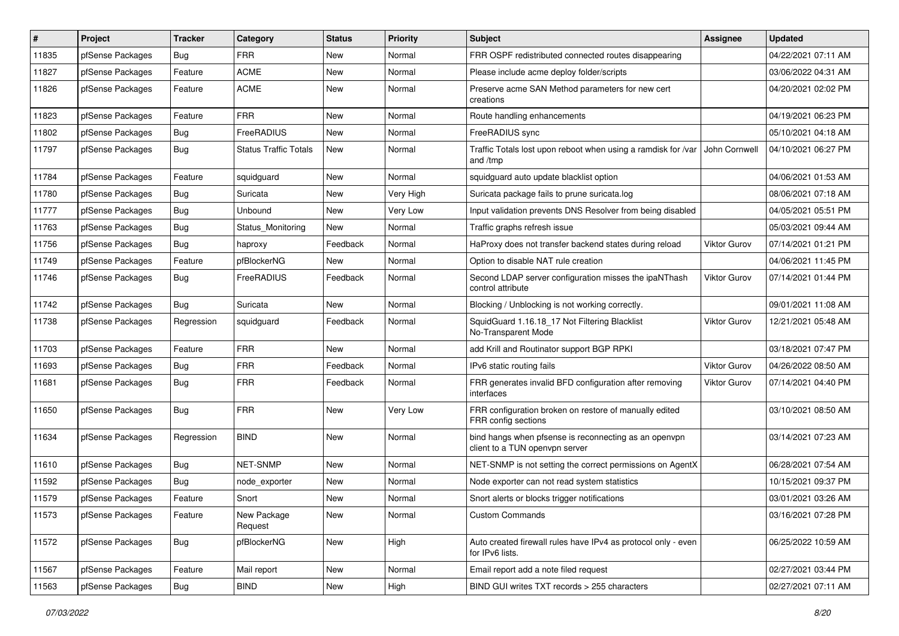| #     | Project          | Tracker    | Category                     | <b>Status</b> | <b>Priority</b> | <b>Subject</b>                                                                          | Assignee            | <b>Updated</b>      |
|-------|------------------|------------|------------------------------|---------------|-----------------|-----------------------------------------------------------------------------------------|---------------------|---------------------|
| 11835 | pfSense Packages | <b>Bug</b> | <b>FRR</b>                   | <b>New</b>    | Normal          | FRR OSPF redistributed connected routes disappearing                                    |                     | 04/22/2021 07:11 AM |
| 11827 | pfSense Packages | Feature    | <b>ACME</b>                  | <b>New</b>    | Normal          | Please include acme deploy folder/scripts                                               |                     | 03/06/2022 04:31 AM |
| 11826 | pfSense Packages | Feature    | <b>ACME</b>                  | <b>New</b>    | Normal          | Preserve acme SAN Method parameters for new cert<br>creations                           |                     | 04/20/2021 02:02 PM |
| 11823 | pfSense Packages | Feature    | <b>FRR</b>                   | <b>New</b>    | Normal          | Route handling enhancements                                                             |                     | 04/19/2021 06:23 PM |
| 11802 | pfSense Packages | <b>Bug</b> | FreeRADIUS                   | <b>New</b>    | Normal          | FreeRADIUS sync                                                                         |                     | 05/10/2021 04:18 AM |
| 11797 | pfSense Packages | <b>Bug</b> | <b>Status Traffic Totals</b> | <b>New</b>    | Normal          | Traffic Totals lost upon reboot when using a ramdisk for /var<br>and /tmp               | John Cornwell       | 04/10/2021 06:27 PM |
| 11784 | pfSense Packages | Feature    | squidguard                   | <b>New</b>    | Normal          | squidguard auto update blacklist option                                                 |                     | 04/06/2021 01:53 AM |
| 11780 | pfSense Packages | Bug        | Suricata                     | <b>New</b>    | Very High       | Suricata package fails to prune suricata.log                                            |                     | 08/06/2021 07:18 AM |
| 11777 | pfSense Packages | <b>Bug</b> | Unbound                      | <b>New</b>    | Very Low        | Input validation prevents DNS Resolver from being disabled                              |                     | 04/05/2021 05:51 PM |
| 11763 | pfSense Packages | <b>Bug</b> | Status Monitoring            | <b>New</b>    | Normal          | Traffic graphs refresh issue                                                            |                     | 05/03/2021 09:44 AM |
| 11756 | pfSense Packages | Bug        | haproxy                      | Feedback      | Normal          | HaProxy does not transfer backend states during reload                                  | Viktor Gurov        | 07/14/2021 01:21 PM |
| 11749 | pfSense Packages | Feature    | pfBlockerNG                  | <b>New</b>    | Normal          | Option to disable NAT rule creation                                                     |                     | 04/06/2021 11:45 PM |
| 11746 | pfSense Packages | <b>Bug</b> | FreeRADIUS                   | Feedback      | Normal          | Second LDAP server configuration misses the ipaNThash<br>control attribute              | <b>Viktor Gurov</b> | 07/14/2021 01:44 PM |
| 11742 | pfSense Packages | Bug        | Suricata                     | <b>New</b>    | Normal          | Blocking / Unblocking is not working correctly.                                         |                     | 09/01/2021 11:08 AM |
| 11738 | pfSense Packages | Regression | squidguard                   | Feedback      | Normal          | SquidGuard 1.16.18_17 Not Filtering Blacklist<br>No-Transparent Mode                    | <b>Viktor Gurov</b> | 12/21/2021 05:48 AM |
| 11703 | pfSense Packages | Feature    | <b>FRR</b>                   | <b>New</b>    | Normal          | add Krill and Routinator support BGP RPKI                                               |                     | 03/18/2021 07:47 PM |
| 11693 | pfSense Packages | Bug        | <b>FRR</b>                   | Feedback      | Normal          | IPv6 static routing fails                                                               | Viktor Gurov        | 04/26/2022 08:50 AM |
| 11681 | pfSense Packages | <b>Bug</b> | <b>FRR</b>                   | Feedback      | Normal          | FRR generates invalid BFD configuration after removing<br>interfaces                    | Viktor Gurov        | 07/14/2021 04:40 PM |
| 11650 | pfSense Packages | Bug        | <b>FRR</b>                   | <b>New</b>    | Very Low        | FRR configuration broken on restore of manually edited<br>FRR config sections           |                     | 03/10/2021 08:50 AM |
| 11634 | pfSense Packages | Regression | <b>BIND</b>                  | <b>New</b>    | Normal          | bind hangs when pfsense is reconnecting as an openvpn<br>client to a TUN openvpn server |                     | 03/14/2021 07:23 AM |
| 11610 | pfSense Packages | <b>Bug</b> | <b>NET-SNMP</b>              | <b>New</b>    | Normal          | NET-SNMP is not setting the correct permissions on AgentX                               |                     | 06/28/2021 07:54 AM |
| 11592 | pfSense Packages | Bug        | node exporter                | <b>New</b>    | Normal          | Node exporter can not read system statistics                                            |                     | 10/15/2021 09:37 PM |
| 11579 | pfSense Packages | Feature    | Snort                        | <b>New</b>    | Normal          | Snort alerts or blocks trigger notifications                                            |                     | 03/01/2021 03:26 AM |
| 11573 | pfSense Packages | Feature    | New Package<br>Request       | New           | Normal          | <b>Custom Commands</b>                                                                  |                     | 03/16/2021 07:28 PM |
| 11572 | pfSense Packages | <b>Bug</b> | pfBlockerNG                  | New           | High            | Auto created firewall rules have IPv4 as protocol only - even<br>for IPv6 lists.        |                     | 06/25/2022 10:59 AM |
| 11567 | pfSense Packages | Feature    | Mail report                  | New           | Normal          | Email report add a note filed request                                                   |                     | 02/27/2021 03:44 PM |
| 11563 | pfSense Packages | Bug        | <b>BIND</b>                  | New           | High            | BIND GUI writes TXT records > 255 characters                                            |                     | 02/27/2021 07:11 AM |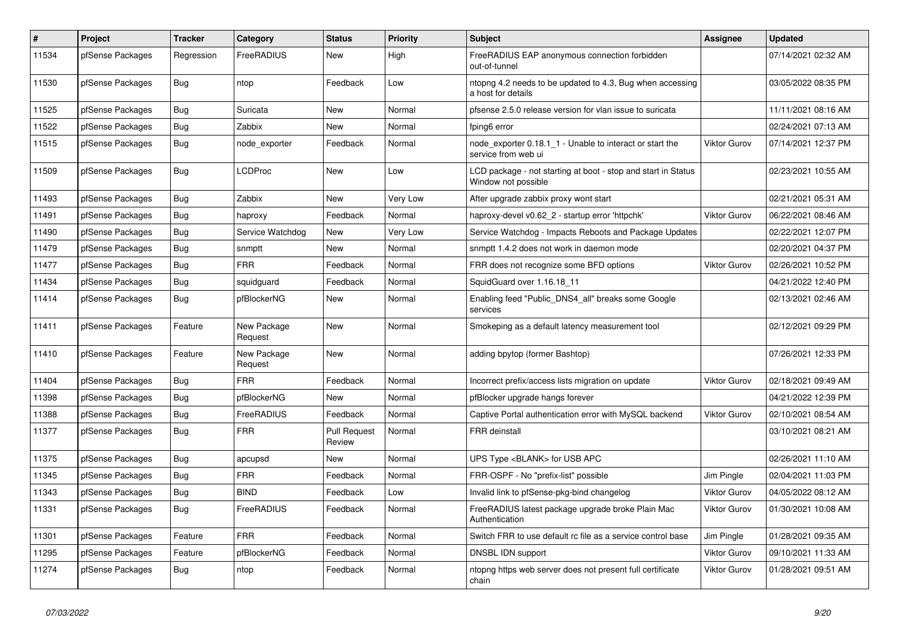| #     | <b>Project</b>   | <b>Tracker</b> | Category               | <b>Status</b>                 | Priority | <b>Subject</b>                                                                       | <b>Assignee</b>     | <b>Updated</b>      |
|-------|------------------|----------------|------------------------|-------------------------------|----------|--------------------------------------------------------------------------------------|---------------------|---------------------|
| 11534 | pfSense Packages | Regression     | FreeRADIUS             | New                           | High     | FreeRADIUS EAP anonymous connection forbidden<br>out-of-tunnel                       |                     | 07/14/2021 02:32 AM |
| 11530 | pfSense Packages | Bug            | ntop                   | Feedback                      | Low      | ntopng 4.2 needs to be updated to 4.3, Bug when accessing<br>a host for details      |                     | 03/05/2022 08:35 PM |
| 11525 | pfSense Packages | Bug            | Suricata               | <b>New</b>                    | Normal   | pfsense 2.5.0 release version for vlan issue to suricata                             |                     | 11/11/2021 08:16 AM |
| 11522 | pfSense Packages | Bug            | Zabbix                 | <b>New</b>                    | Normal   | fping6 error                                                                         |                     | 02/24/2021 07:13 AM |
| 11515 | pfSense Packages | Bug            | node exporter          | Feedback                      | Normal   | node exporter 0.18.1 1 - Unable to interact or start the<br>service from web ui      | <b>Viktor Gurov</b> | 07/14/2021 12:37 PM |
| 11509 | pfSense Packages | <b>Bug</b>     | <b>LCDProc</b>         | <b>New</b>                    | Low      | LCD package - not starting at boot - stop and start in Status<br>Window not possible |                     | 02/23/2021 10:55 AM |
| 11493 | pfSense Packages | Bug            | Zabbix                 | <b>New</b>                    | Very Low | After upgrade zabbix proxy wont start                                                |                     | 02/21/2021 05:31 AM |
| 11491 | pfSense Packages | Bug            | haproxy                | Feedback                      | Normal   | haproxy-devel v0.62 2 - startup error 'httpchk'                                      | <b>Viktor Gurov</b> | 06/22/2021 08:46 AM |
| 11490 | pfSense Packages | Bug            | Service Watchdog       | New                           | Very Low | Service Watchdog - Impacts Reboots and Package Updates                               |                     | 02/22/2021 12:07 PM |
| 11479 | pfSense Packages | Bug            | snmptt                 | <b>New</b>                    | Normal   | snmptt 1.4.2 does not work in daemon mode                                            |                     | 02/20/2021 04:37 PM |
| 11477 | pfSense Packages | Bug            | <b>FRR</b>             | Feedback                      | Normal   | FRR does not recognize some BFD options                                              | <b>Viktor Gurov</b> | 02/26/2021 10:52 PM |
| 11434 | pfSense Packages | Bug            | squidguard             | Feedback                      | Normal   | SquidGuard over 1.16.18 11                                                           |                     | 04/21/2022 12:40 PM |
| 11414 | pfSense Packages | Bug            | pfBlockerNG            | <b>New</b>                    | Normal   | Enabling feed "Public_DNS4_all" breaks some Google<br>services                       |                     | 02/13/2021 02:46 AM |
| 11411 | pfSense Packages | Feature        | New Package<br>Request | <b>New</b>                    | Normal   | Smokeping as a default latency measurement tool                                      |                     | 02/12/2021 09:29 PM |
| 11410 | pfSense Packages | Feature        | New Package<br>Request | <b>New</b>                    | Normal   | adding bpytop (former Bashtop)                                                       |                     | 07/26/2021 12:33 PM |
| 11404 | pfSense Packages | Bug            | <b>FRR</b>             | Feedback                      | Normal   | Incorrect prefix/access lists migration on update                                    | <b>Viktor Gurov</b> | 02/18/2021 09:49 AM |
| 11398 | pfSense Packages | Bug            | pfBlockerNG            | New                           | Normal   | pfBlocker upgrade hangs forever                                                      |                     | 04/21/2022 12:39 PM |
| 11388 | pfSense Packages | Bug            | FreeRADIUS             | Feedback                      | Normal   | Captive Portal authentication error with MySQL backend                               | <b>Viktor Gurov</b> | 02/10/2021 08:54 AM |
| 11377 | pfSense Packages | Bug            | <b>FRR</b>             | <b>Pull Request</b><br>Review | Normal   | <b>FRR</b> deinstall                                                                 |                     | 03/10/2021 08:21 AM |
| 11375 | pfSense Packages | Bug            | apcupsd                | New                           | Normal   | UPS Type <blank> for USB APC</blank>                                                 |                     | 02/26/2021 11:10 AM |
| 11345 | pfSense Packages | <b>Bug</b>     | <b>FRR</b>             | Feedback                      | Normal   | FRR-OSPF - No "prefix-list" possible                                                 | Jim Pingle          | 02/04/2021 11:03 PM |
| 11343 | pfSense Packages | Bug            | <b>BIND</b>            | Feedback                      | Low      | Invalid link to pfSense-pkg-bind changelog                                           | Viktor Gurov        | 04/05/2022 08:12 AM |
| 11331 | pfSense Packages | Bug            | FreeRADIUS             | Feedback                      | Normal   | FreeRADIUS latest package upgrade broke Plain Mac<br>Authentication                  | <b>Viktor Gurov</b> | 01/30/2021 10:08 AM |
| 11301 | pfSense Packages | Feature        | <b>FRR</b>             | Feedback                      | Normal   | Switch FRR to use default rc file as a service control base                          | Jim Pingle          | 01/28/2021 09:35 AM |
| 11295 | pfSense Packages | Feature        | pfBlockerNG            | Feedback                      | Normal   | <b>DNSBL IDN support</b>                                                             | <b>Viktor Gurov</b> | 09/10/2021 11:33 AM |
| 11274 | pfSense Packages | Bug            | ntop                   | Feedback                      | Normal   | ntopng https web server does not present full certificate<br>chain                   | <b>Viktor Gurov</b> | 01/28/2021 09:51 AM |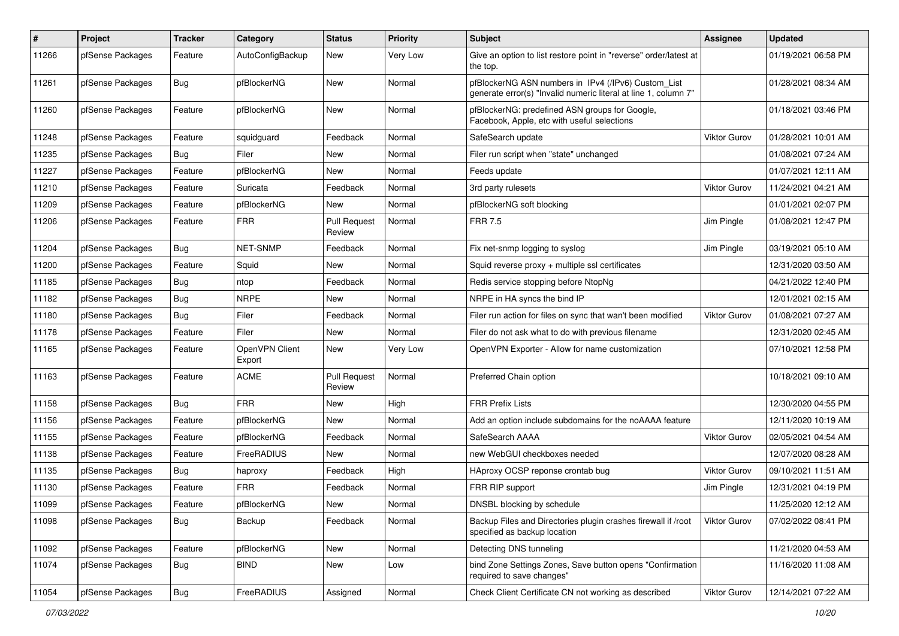| $\pmb{\#}$ | Project          | <b>Tracker</b> | Category                 | <b>Status</b>                 | <b>Priority</b> | <b>Subject</b>                                                                                                         | <b>Assignee</b>     | <b>Updated</b>      |
|------------|------------------|----------------|--------------------------|-------------------------------|-----------------|------------------------------------------------------------------------------------------------------------------------|---------------------|---------------------|
| 11266      | pfSense Packages | Feature        | AutoConfigBackup         | New                           | Very Low        | Give an option to list restore point in "reverse" order/latest at<br>the top.                                          |                     | 01/19/2021 06:58 PM |
| 11261      | pfSense Packages | Bug            | pfBlockerNG              | New                           | Normal          | pfBlockerNG ASN numbers in IPv4 (/IPv6) Custom_List<br>generate error(s) "Invalid numeric literal at line 1, column 7" |                     | 01/28/2021 08:34 AM |
| 11260      | pfSense Packages | Feature        | pfBlockerNG              | <b>New</b>                    | Normal          | pfBlockerNG: predefined ASN groups for Google,<br>Facebook, Apple, etc with useful selections                          |                     | 01/18/2021 03:46 PM |
| 11248      | pfSense Packages | Feature        | squidguard               | Feedback                      | Normal          | SafeSearch update                                                                                                      | Viktor Gurov        | 01/28/2021 10:01 AM |
| 11235      | pfSense Packages | Bug            | Filer                    | New                           | Normal          | Filer run script when "state" unchanged                                                                                |                     | 01/08/2021 07:24 AM |
| 11227      | pfSense Packages | Feature        | pfBlockerNG              | New                           | Normal          | Feeds update                                                                                                           |                     | 01/07/2021 12:11 AM |
| 11210      | pfSense Packages | Feature        | Suricata                 | Feedback                      | Normal          | 3rd party rulesets                                                                                                     | Viktor Gurov        | 11/24/2021 04:21 AM |
| 11209      | pfSense Packages | Feature        | pfBlockerNG              | New                           | Normal          | pfBlockerNG soft blocking                                                                                              |                     | 01/01/2021 02:07 PM |
| 11206      | pfSense Packages | Feature        | <b>FRR</b>               | <b>Pull Request</b><br>Review | Normal          | <b>FRR 7.5</b>                                                                                                         | Jim Pingle          | 01/08/2021 12:47 PM |
| 11204      | pfSense Packages | Bug            | NET-SNMP                 | Feedback                      | Normal          | Fix net-snmp logging to syslog                                                                                         | Jim Pingle          | 03/19/2021 05:10 AM |
| 11200      | pfSense Packages | Feature        | Squid                    | <b>New</b>                    | Normal          | Squid reverse $proxy + \text{multiple} ssl$ certificates                                                               |                     | 12/31/2020 03:50 AM |
| 11185      | pfSense Packages | Bug            | ntop                     | Feedback                      | Normal          | Redis service stopping before NtopNg                                                                                   |                     | 04/21/2022 12:40 PM |
| 11182      | pfSense Packages | <b>Bug</b>     | <b>NRPE</b>              | New                           | Normal          | NRPE in HA syncs the bind IP                                                                                           |                     | 12/01/2021 02:15 AM |
| 11180      | pfSense Packages | Bug            | Filer                    | Feedback                      | Normal          | Filer run action for files on sync that wan't been modified                                                            | Viktor Gurov        | 01/08/2021 07:27 AM |
| 11178      | pfSense Packages | Feature        | Filer                    | New                           | Normal          | Filer do not ask what to do with previous filename                                                                     |                     | 12/31/2020 02:45 AM |
| 11165      | pfSense Packages | Feature        | OpenVPN Client<br>Export | New                           | Very Low        | OpenVPN Exporter - Allow for name customization                                                                        |                     | 07/10/2021 12:58 PM |
| 11163      | pfSense Packages | Feature        | <b>ACME</b>              | <b>Pull Request</b><br>Review | Normal          | Preferred Chain option                                                                                                 |                     | 10/18/2021 09:10 AM |
| 11158      | pfSense Packages | Bug            | <b>FRR</b>               | New                           | High            | FRR Prefix Lists                                                                                                       |                     | 12/30/2020 04:55 PM |
| 11156      | pfSense Packages | Feature        | pfBlockerNG              | New                           | Normal          | Add an option include subdomains for the noAAAA feature                                                                |                     | 12/11/2020 10:19 AM |
| 11155      | pfSense Packages | Feature        | pfBlockerNG              | Feedback                      | Normal          | SafeSearch AAAA                                                                                                        | Viktor Gurov        | 02/05/2021 04:54 AM |
| 11138      | pfSense Packages | Feature        | FreeRADIUS               | New                           | Normal          | new WebGUI checkboxes needed                                                                                           |                     | 12/07/2020 08:28 AM |
| 11135      | pfSense Packages | Bug            | haproxy                  | Feedback                      | High            | HAproxy OCSP reponse crontab bug                                                                                       | <b>Viktor Gurov</b> | 09/10/2021 11:51 AM |
| 11130      | pfSense Packages | Feature        | <b>FRR</b>               | Feedback                      | Normal          | FRR RIP support                                                                                                        | Jim Pingle          | 12/31/2021 04:19 PM |
| 11099      | pfSense Packages | Feature        | pfBlockerNG              | New                           | Normal          | DNSBL blocking by schedule                                                                                             |                     | 11/25/2020 12:12 AM |
| 11098      | pfSense Packages | Bug            | Backup                   | Feedback                      | Normal          | Backup Files and Directories plugin crashes firewall if /root<br>specified as backup location                          | <b>Viktor Gurov</b> | 07/02/2022 08:41 PM |
| 11092      | pfSense Packages | Feature        | pfBlockerNG              | <b>New</b>                    | Normal          | Detecting DNS tunneling                                                                                                |                     | 11/21/2020 04:53 AM |
| 11074      | pfSense Packages | <b>Bug</b>     | <b>BIND</b>              | New                           | Low             | bind Zone Settings Zones, Save button opens "Confirmation<br>required to save changes"                                 |                     | 11/16/2020 11:08 AM |
| 11054      | pfSense Packages | <b>Bug</b>     | FreeRADIUS               | Assigned                      | Normal          | Check Client Certificate CN not working as described                                                                   | <b>Viktor Gurov</b> | 12/14/2021 07:22 AM |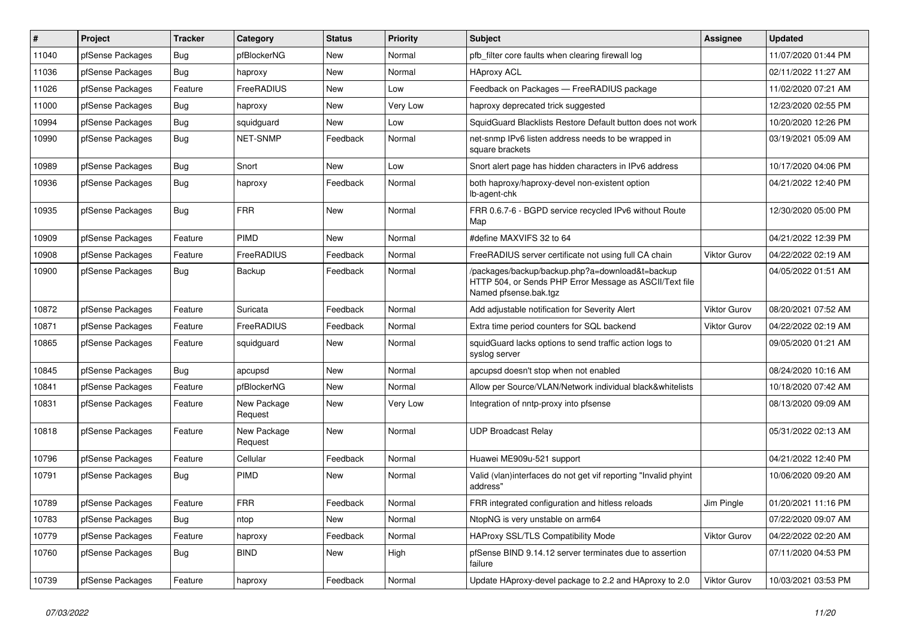| $\pmb{\sharp}$ | Project          | <b>Tracker</b> | Category               | <b>Status</b> | <b>Priority</b> | Subject                                                                                                                             | <b>Assignee</b>     | <b>Updated</b>      |
|----------------|------------------|----------------|------------------------|---------------|-----------------|-------------------------------------------------------------------------------------------------------------------------------------|---------------------|---------------------|
| 11040          | pfSense Packages | <b>Bug</b>     | pfBlockerNG            | New           | Normal          | pfb filter core faults when clearing firewall log                                                                                   |                     | 11/07/2020 01:44 PM |
| 11036          | pfSense Packages | Bug            | haproxy                | <b>New</b>    | Normal          | <b>HAproxy ACL</b>                                                                                                                  |                     | 02/11/2022 11:27 AM |
| 11026          | pfSense Packages | Feature        | FreeRADIUS             | New           | Low             | Feedback on Packages - FreeRADIUS package                                                                                           |                     | 11/02/2020 07:21 AM |
| 11000          | pfSense Packages | <b>Bug</b>     | haproxy                | New           | Verv Low        | haproxy deprecated trick suggested                                                                                                  |                     | 12/23/2020 02:55 PM |
| 10994          | pfSense Packages | <b>Bug</b>     | squidguard             | <b>New</b>    | Low             | SquidGuard Blacklists Restore Default button does not work                                                                          |                     | 10/20/2020 12:26 PM |
| 10990          | pfSense Packages | Bug            | NET-SNMP               | Feedback      | Normal          | net-snmp IPv6 listen address needs to be wrapped in<br>square brackets                                                              |                     | 03/19/2021 05:09 AM |
| 10989          | pfSense Packages | Bug            | Snort                  | <b>New</b>    | Low             | Snort alert page has hidden characters in IPv6 address                                                                              |                     | 10/17/2020 04:06 PM |
| 10936          | pfSense Packages | Bug            | haproxy                | Feedback      | Normal          | both haproxy/haproxy-devel non-existent option<br>lb-agent-chk                                                                      |                     | 04/21/2022 12:40 PM |
| 10935          | pfSense Packages | <b>Bug</b>     | <b>FRR</b>             | <b>New</b>    | Normal          | FRR 0.6.7-6 - BGPD service recycled IPv6 without Route<br>Map                                                                       |                     | 12/30/2020 05:00 PM |
| 10909          | pfSense Packages | Feature        | PIMD                   | <b>New</b>    | Normal          | #define MAXVIFS 32 to 64                                                                                                            |                     | 04/21/2022 12:39 PM |
| 10908          | pfSense Packages | Feature        | FreeRADIUS             | Feedback      | Normal          | FreeRADIUS server certificate not using full CA chain                                                                               | <b>Viktor Gurov</b> | 04/22/2022 02:19 AM |
| 10900          | pfSense Packages | Bug            | Backup                 | Feedback      | Normal          | /packages/backup/backup.php?a=download&t=backup<br>HTTP 504, or Sends PHP Error Message as ASCII/Text file<br>Named pfsense.bak.tgz |                     | 04/05/2022 01:51 AM |
| 10872          | pfSense Packages | Feature        | Suricata               | Feedback      | Normal          | Add adjustable notification for Severity Alert                                                                                      | Viktor Gurov        | 08/20/2021 07:52 AM |
| 10871          | pfSense Packages | Feature        | FreeRADIUS             | Feedback      | Normal          | Extra time period counters for SQL backend                                                                                          | <b>Viktor Gurov</b> | 04/22/2022 02:19 AM |
| 10865          | pfSense Packages | Feature        | squidguard             | <b>New</b>    | Normal          | squidGuard lacks options to send traffic action logs to<br>syslog server                                                            |                     | 09/05/2020 01:21 AM |
| 10845          | pfSense Packages | Bug            | apcupsd                | New           | Normal          | apcupsd doesn't stop when not enabled                                                                                               |                     | 08/24/2020 10:16 AM |
| 10841          | pfSense Packages | Feature        | pfBlockerNG            | <b>New</b>    | Normal          | Allow per Source/VLAN/Network individual black&whitelists                                                                           |                     | 10/18/2020 07:42 AM |
| 10831          | pfSense Packages | Feature        | New Package<br>Request | New           | Very Low        | Integration of nntp-proxy into pfsense                                                                                              |                     | 08/13/2020 09:09 AM |
| 10818          | pfSense Packages | Feature        | New Package<br>Request | New           | Normal          | <b>UDP Broadcast Relay</b>                                                                                                          |                     | 05/31/2022 02:13 AM |
| 10796          | pfSense Packages | Feature        | Cellular               | Feedback      | Normal          | Huawei ME909u-521 support                                                                                                           |                     | 04/21/2022 12:40 PM |
| 10791          | pfSense Packages | Bug            | <b>PIMD</b>            | New           | Normal          | Valid (vlan)interfaces do not get vif reporting "Invalid phyint<br>address"                                                         |                     | 10/06/2020 09:20 AM |
| 10789          | pfSense Packages | Feature        | <b>FRR</b>             | Feedback      | Normal          | FRR integrated configuration and hitless reloads                                                                                    | Jim Pingle          | 01/20/2021 11:16 PM |
| 10783          | pfSense Packages | Bug            | ntop                   | New           | Normal          | NtopNG is very unstable on arm64                                                                                                    |                     | 07/22/2020 09:07 AM |
| 10779          | pfSense Packages | Feature        | haproxy                | Feedback      | Normal          | HAProxy SSL/TLS Compatibility Mode                                                                                                  | <b>Viktor Gurov</b> | 04/22/2022 02:20 AM |
| 10760          | pfSense Packages | <b>Bug</b>     | <b>BIND</b>            | New           | High            | pfSense BIND 9.14.12 server terminates due to assertion<br>failure                                                                  |                     | 07/11/2020 04:53 PM |
| 10739          | pfSense Packages | Feature        | haproxy                | Feedback      | Normal          | Update HAproxy-devel package to 2.2 and HAproxy to 2.0                                                                              | Viktor Gurov        | 10/03/2021 03:53 PM |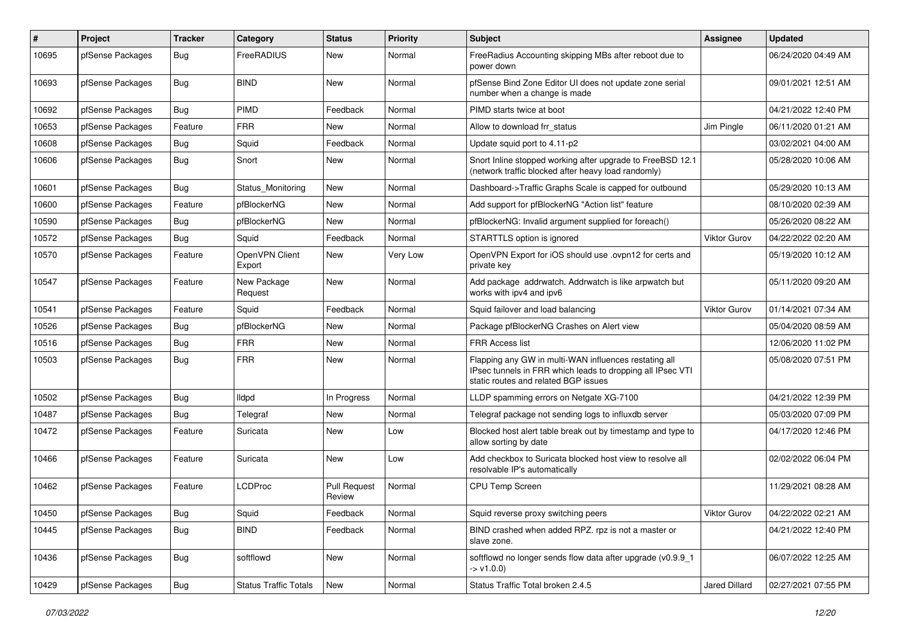| #     | Project          | <b>Tracker</b> | Category                     | <b>Status</b>                 | <b>Priority</b> | Subject                                                                                                                                                     | <b>Assignee</b>     | <b>Updated</b>      |
|-------|------------------|----------------|------------------------------|-------------------------------|-----------------|-------------------------------------------------------------------------------------------------------------------------------------------------------------|---------------------|---------------------|
| 10695 | pfSense Packages | Bug            | FreeRADIUS                   | <b>New</b>                    | Normal          | FreeRadius Accounting skipping MBs after reboot due to<br>power down                                                                                        |                     | 06/24/2020 04:49 AM |
| 10693 | pfSense Packages | <b>Bug</b>     | <b>BIND</b>                  | <b>New</b>                    | Normal          | pfSense Bind Zone Editor UI does not update zone serial<br>number when a change is made                                                                     |                     | 09/01/2021 12:51 AM |
| 10692 | pfSense Packages | Bug            | PIMD                         | Feedback                      | Normal          | PIMD starts twice at boot                                                                                                                                   |                     | 04/21/2022 12:40 PM |
| 10653 | pfSense Packages | Feature        | <b>FRR</b>                   | New                           | Normal          | Allow to download frr status                                                                                                                                | Jim Pingle          | 06/11/2020 01:21 AM |
| 10608 | pfSense Packages | Bug            | Squid                        | Feedback                      | Normal          | Update squid port to 4.11-p2                                                                                                                                |                     | 03/02/2021 04:00 AM |
| 10606 | pfSense Packages | Bug            | Snort                        | New                           | Normal          | Snort Inline stopped working after upgrade to FreeBSD 12.1<br>(network traffic blocked after heavy load randomly)                                           |                     | 05/28/2020 10:06 AM |
| 10601 | pfSense Packages | Bug            | Status Monitoring            | <b>New</b>                    | Normal          | Dashboard->Traffic Graphs Scale is capped for outbound                                                                                                      |                     | 05/29/2020 10:13 AM |
| 10600 | pfSense Packages | Feature        | pfBlockerNG                  | <b>New</b>                    | Normal          | Add support for pfBlockerNG "Action list" feature                                                                                                           |                     | 08/10/2020 02:39 AM |
| 10590 | pfSense Packages | <b>Bug</b>     | pfBlockerNG                  | New                           | Normal          | pfBlockerNG: Invalid argument supplied for foreach()                                                                                                        |                     | 05/26/2020 08:22 AM |
| 10572 | pfSense Packages | Bug            | Squid                        | Feedback                      | Normal          | STARTTLS option is ignored                                                                                                                                  | Viktor Gurov        | 04/22/2022 02:20 AM |
| 10570 | pfSense Packages | Feature        | OpenVPN Client<br>Export     | New                           | Very Low        | OpenVPN Export for iOS should use .ovpn12 for certs and<br>private key                                                                                      |                     | 05/19/2020 10:12 AM |
| 10547 | pfSense Packages | Feature        | New Package<br>Request       | <b>New</b>                    | Normal          | Add package addrwatch. Addrwatch is like arpwatch but<br>works with ipv4 and ipv6                                                                           |                     | 05/11/2020 09:20 AM |
| 10541 | pfSense Packages | Feature        | Squid                        | Feedback                      | Normal          | Squid failover and load balancing                                                                                                                           | Viktor Gurov        | 01/14/2021 07:34 AM |
| 10526 | pfSense Packages | <b>Bug</b>     | pfBlockerNG                  | <b>New</b>                    | Normal          | Package pfBlockerNG Crashes on Alert view                                                                                                                   |                     | 05/04/2020 08:59 AM |
| 10516 | pfSense Packages | Bug            | <b>FRR</b>                   | <b>New</b>                    | Normal          | <b>FRR Access list</b>                                                                                                                                      |                     | 12/06/2020 11:02 PM |
| 10503 | pfSense Packages | Bug            | <b>FRR</b>                   | <b>New</b>                    | Normal          | Flapping any GW in multi-WAN influences restating all<br>IPsec tunnels in FRR which leads to dropping all IPsec VTI<br>static routes and related BGP issues |                     | 05/08/2020 07:51 PM |
| 10502 | pfSense Packages | Bug            | <b>Ildpd</b>                 | In Progress                   | Normal          | LLDP spamming errors on Netgate XG-7100                                                                                                                     |                     | 04/21/2022 12:39 PM |
| 10487 | pfSense Packages | Bug            | Telegraf                     | <b>New</b>                    | Normal          | Telegraf package not sending logs to influxdb server                                                                                                        |                     | 05/03/2020 07:09 PM |
| 10472 | pfSense Packages | Feature        | Suricata                     | New                           | Low             | Blocked host alert table break out by timestamp and type to<br>allow sorting by date                                                                        |                     | 04/17/2020 12:46 PM |
| 10466 | pfSense Packages | Feature        | Suricata                     | <b>New</b>                    | Low             | Add checkbox to Suricata blocked host view to resolve all<br>resolvable IP's automatically                                                                  |                     | 02/02/2022 06:04 PM |
| 10462 | pfSense Packages | Feature        | <b>LCDProc</b>               | <b>Pull Request</b><br>Review | Normal          | CPU Temp Screen                                                                                                                                             |                     | 11/29/2021 08:28 AM |
| 10450 | pfSense Packages | <b>Bug</b>     | Squid                        | Feedback                      | Normal          | Squid reverse proxy switching peers                                                                                                                         | <b>Viktor Gurov</b> | 04/22/2022 02:21 AM |
| 10445 | pfSense Packages | Bug            | <b>BIND</b>                  | Feedback                      | Normal          | BIND crashed when added RPZ. rpz is not a master or<br>slave zone.                                                                                          |                     | 04/21/2022 12:40 PM |
| 10436 | pfSense Packages | Bug            | softflowd                    | New                           | Normal          | softflowd no longer sends flow data after upgrade (v0.9.9_1<br>-> v1.0.0)                                                                                   |                     | 06/07/2022 12:25 AM |
| 10429 | pfSense Packages | <b>Bug</b>     | <b>Status Traffic Totals</b> | New                           | Normal          | Status Traffic Total broken 2.4.5                                                                                                                           | Jared Dillard       | 02/27/2021 07:55 PM |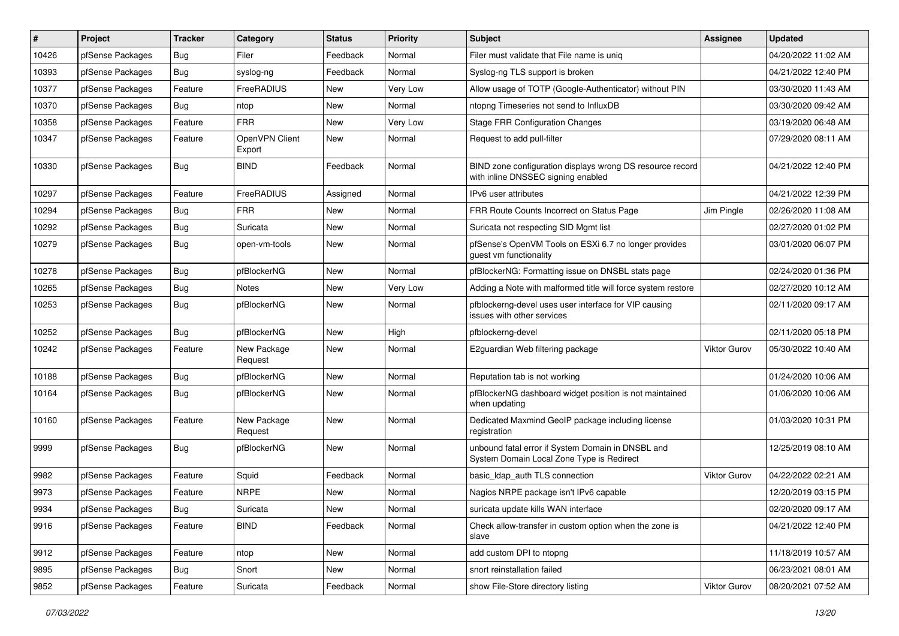| #     | Project          | <b>Tracker</b> | Category                 | <b>Status</b> | Priority | <b>Subject</b>                                                                                  | Assignee            | <b>Updated</b>      |
|-------|------------------|----------------|--------------------------|---------------|----------|-------------------------------------------------------------------------------------------------|---------------------|---------------------|
| 10426 | pfSense Packages | <b>Bug</b>     | Filer                    | Feedback      | Normal   | Filer must validate that File name is uniq                                                      |                     | 04/20/2022 11:02 AM |
| 10393 | pfSense Packages | <b>Bug</b>     | syslog-ng                | Feedback      | Normal   | Syslog-ng TLS support is broken                                                                 |                     | 04/21/2022 12:40 PM |
| 10377 | pfSense Packages | Feature        | FreeRADIUS               | New           | Very Low | Allow usage of TOTP (Google-Authenticator) without PIN                                          |                     | 03/30/2020 11:43 AM |
| 10370 | pfSense Packages | Bug            | ntop                     | New           | Normal   | ntopng Timeseries not send to InfluxDB                                                          |                     | 03/30/2020 09:42 AM |
| 10358 | pfSense Packages | Feature        | <b>FRR</b>               | <b>New</b>    | Very Low | <b>Stage FRR Configuration Changes</b>                                                          |                     | 03/19/2020 06:48 AM |
| 10347 | pfSense Packages | Feature        | OpenVPN Client<br>Export | New           | Normal   | Request to add pull-filter                                                                      |                     | 07/29/2020 08:11 AM |
| 10330 | pfSense Packages | <b>Bug</b>     | <b>BIND</b>              | Feedback      | Normal   | BIND zone configuration displays wrong DS resource record<br>with inline DNSSEC signing enabled |                     | 04/21/2022 12:40 PM |
| 10297 | pfSense Packages | Feature        | FreeRADIUS               | Assigned      | Normal   | IPv6 user attributes                                                                            |                     | 04/21/2022 12:39 PM |
| 10294 | pfSense Packages | Bug            | <b>FRR</b>               | New           | Normal   | FRR Route Counts Incorrect on Status Page                                                       | Jim Pingle          | 02/26/2020 11:08 AM |
| 10292 | pfSense Packages | Bug            | Suricata                 | New           | Normal   | Suricata not respecting SID Mgmt list                                                           |                     | 02/27/2020 01:02 PM |
| 10279 | pfSense Packages | <b>Bug</b>     | open-vm-tools            | <b>New</b>    | Normal   | pfSense's OpenVM Tools on ESXi 6.7 no longer provides<br>guest vm functionality                 |                     | 03/01/2020 06:07 PM |
| 10278 | pfSense Packages | Bug            | pfBlockerNG              | <b>New</b>    | Normal   | pfBlockerNG: Formatting issue on DNSBL stats page                                               |                     | 02/24/2020 01:36 PM |
| 10265 | pfSense Packages | Bug            | <b>Notes</b>             | <b>New</b>    | Very Low | Adding a Note with malformed title will force system restore                                    |                     | 02/27/2020 10:12 AM |
| 10253 | pfSense Packages | <b>Bug</b>     | pfBlockerNG              | New           | Normal   | pfblockerng-devel uses user interface for VIP causing<br>issues with other services             |                     | 02/11/2020 09:17 AM |
| 10252 | pfSense Packages | Bug            | pfBlockerNG              | <b>New</b>    | High     | pfblockerng-devel                                                                               |                     | 02/11/2020 05:18 PM |
| 10242 | pfSense Packages | Feature        | New Package<br>Request   | <b>New</b>    | Normal   | E2guardian Web filtering package                                                                | <b>Viktor Gurov</b> | 05/30/2022 10:40 AM |
| 10188 | pfSense Packages | <b>Bug</b>     | pfBlockerNG              | New           | Normal   | Reputation tab is not working                                                                   |                     | 01/24/2020 10:06 AM |
| 10164 | pfSense Packages | Bug            | pfBlockerNG              | New           | Normal   | pfBlockerNG dashboard widget position is not maintained<br>when updating                        |                     | 01/06/2020 10:06 AM |
| 10160 | pfSense Packages | Feature        | New Package<br>Request   | <b>New</b>    | Normal   | Dedicated Maxmind GeoIP package including license<br>registration                               |                     | 01/03/2020 10:31 PM |
| 9999  | pfSense Packages | Bug            | pfBlockerNG              | <b>New</b>    | Normal   | unbound fatal error if System Domain in DNSBL and<br>System Domain Local Zone Type is Redirect  |                     | 12/25/2019 08:10 AM |
| 9982  | pfSense Packages | Feature        | Squid                    | Feedback      | Normal   | basic_Idap_auth TLS connection                                                                  | <b>Viktor Gurov</b> | 04/22/2022 02:21 AM |
| 9973  | pfSense Packages | Feature        | <b>NRPE</b>              | New           | Normal   | Nagios NRPE package isn't IPv6 capable                                                          |                     | 12/20/2019 03:15 PM |
| 9934  | pfSense Packages | <b>Bug</b>     | Suricata                 | New           | Normal   | suricata update kills WAN interface                                                             |                     | 02/20/2020 09:17 AM |
| 9916  | pfSense Packages | Feature        | <b>BIND</b>              | Feedback      | Normal   | Check allow-transfer in custom option when the zone is<br>slave                                 |                     | 04/21/2022 12:40 PM |
| 9912  | pfSense Packages | Feature        | ntop                     | New           | Normal   | add custom DPI to ntopng                                                                        |                     | 11/18/2019 10:57 AM |
| 9895  | pfSense Packages | <b>Bug</b>     | Snort                    | New           | Normal   | snort reinstallation failed                                                                     |                     | 06/23/2021 08:01 AM |
| 9852  | pfSense Packages | Feature        | Suricata                 | Feedback      | Normal   | show File-Store directory listing                                                               | Viktor Gurov        | 08/20/2021 07:52 AM |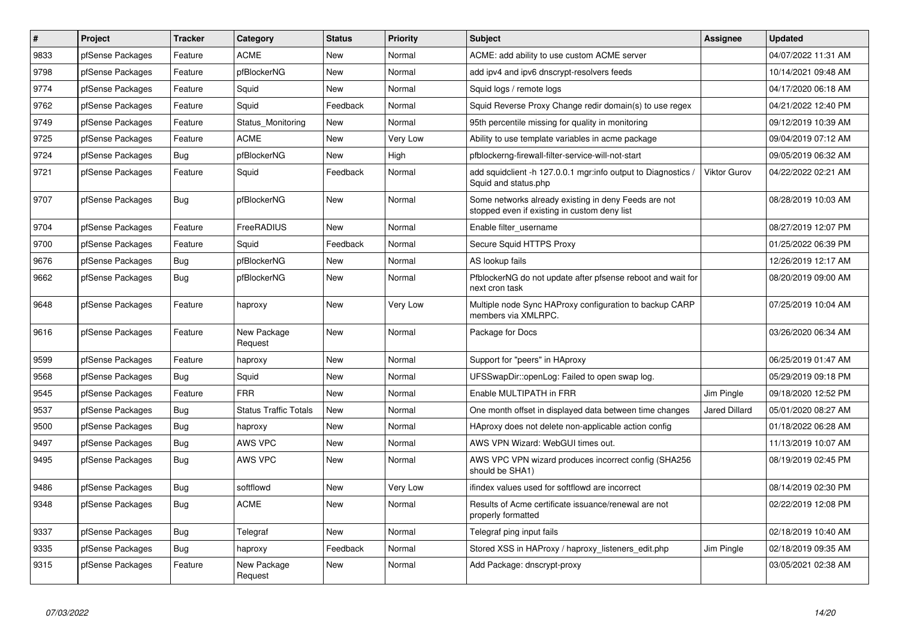| $\#$ | Project          | <b>Tracker</b> | Category                     | <b>Status</b> | <b>Priority</b> | <b>Subject</b>                                                                                       | <b>Assignee</b>      | <b>Updated</b>      |
|------|------------------|----------------|------------------------------|---------------|-----------------|------------------------------------------------------------------------------------------------------|----------------------|---------------------|
| 9833 | pfSense Packages | Feature        | <b>ACME</b>                  | <b>New</b>    | Normal          | ACME: add ability to use custom ACME server                                                          |                      | 04/07/2022 11:31 AM |
| 9798 | pfSense Packages | Feature        | pfBlockerNG                  | New           | Normal          | add ipv4 and ipv6 dnscrypt-resolvers feeds                                                           |                      | 10/14/2021 09:48 AM |
| 9774 | pfSense Packages | Feature        | Squid                        | New           | Normal          | Squid logs / remote logs                                                                             |                      | 04/17/2020 06:18 AM |
| 9762 | pfSense Packages | Feature        | Squid                        | Feedback      | Normal          | Squid Reverse Proxy Change redir domain(s) to use regex                                              |                      | 04/21/2022 12:40 PM |
| 9749 | pfSense Packages | Feature        | Status Monitoring            | <b>New</b>    | Normal          | 95th percentile missing for quality in monitoring                                                    |                      | 09/12/2019 10:39 AM |
| 9725 | pfSense Packages | Feature        | <b>ACME</b>                  | New           | Very Low        | Ability to use template variables in acme package                                                    |                      | 09/04/2019 07:12 AM |
| 9724 | pfSense Packages | <b>Bug</b>     | pfBlockerNG                  | <b>New</b>    | High            | pfblockerng-firewall-filter-service-will-not-start                                                   |                      | 09/05/2019 06:32 AM |
| 9721 | pfSense Packages | Feature        | Squid                        | Feedback      | Normal          | add squidclient -h 127.0.0.1 mgr:info output to Diagnostics /<br>Squid and status.php                | <b>Viktor Gurov</b>  | 04/22/2022 02:21 AM |
| 9707 | pfSense Packages | Bug            | pfBlockerNG                  | <b>New</b>    | Normal          | Some networks already existing in deny Feeds are not<br>stopped even if existing in custom deny list |                      | 08/28/2019 10:03 AM |
| 9704 | pfSense Packages | Feature        | FreeRADIUS                   | <b>New</b>    | Normal          | Enable filter username                                                                               |                      | 08/27/2019 12:07 PM |
| 9700 | pfSense Packages | Feature        | Squid                        | Feedback      | Normal          | Secure Squid HTTPS Proxy                                                                             |                      | 01/25/2022 06:39 PM |
| 9676 | pfSense Packages | <b>Bug</b>     | pfBlockerNG                  | <b>New</b>    | Normal          | AS lookup fails                                                                                      |                      | 12/26/2019 12:17 AM |
| 9662 | pfSense Packages | Bug            | pfBlockerNG                  | <b>New</b>    | Normal          | PfblockerNG do not update after pfsense reboot and wait for<br>next cron task                        |                      | 08/20/2019 09:00 AM |
| 9648 | pfSense Packages | Feature        | haproxy                      | <b>New</b>    | Very Low        | Multiple node Sync HAProxy configuration to backup CARP<br>members via XMLRPC.                       |                      | 07/25/2019 10:04 AM |
| 9616 | pfSense Packages | Feature        | New Package<br>Request       | New           | Normal          | Package for Docs                                                                                     |                      | 03/26/2020 06:34 AM |
| 9599 | pfSense Packages | Feature        | haproxy                      | <b>New</b>    | Normal          | Support for "peers" in HAproxy                                                                       |                      | 06/25/2019 01:47 AM |
| 9568 | pfSense Packages | Bug            | Squid                        | New           | Normal          | UFSSwapDir::openLog: Failed to open swap log.                                                        |                      | 05/29/2019 09:18 PM |
| 9545 | pfSense Packages | Feature        | <b>FRR</b>                   | New           | Normal          | Enable MULTIPATH in FRR                                                                              | Jim Pingle           | 09/18/2020 12:52 PM |
| 9537 | pfSense Packages | <b>Bug</b>     | <b>Status Traffic Totals</b> | New           | Normal          | One month offset in displayed data between time changes                                              | <b>Jared Dillard</b> | 05/01/2020 08:27 AM |
| 9500 | pfSense Packages | <b>Bug</b>     | haproxy                      | New           | Normal          | HAproxy does not delete non-applicable action config                                                 |                      | 01/18/2022 06:28 AM |
| 9497 | pfSense Packages | Bug            | <b>AWS VPC</b>               | New           | Normal          | AWS VPN Wizard: WebGUI times out.                                                                    |                      | 11/13/2019 10:07 AM |
| 9495 | pfSense Packages | Bug            | AWS VPC                      | <b>New</b>    | Normal          | AWS VPC VPN wizard produces incorrect config (SHA256<br>should be SHA1)                              |                      | 08/19/2019 02:45 PM |
| 9486 | pfSense Packages | <b>Bug</b>     | softflowd                    | New           | Very Low        | ifindex values used for softflowd are incorrect                                                      |                      | 08/14/2019 02:30 PM |
| 9348 | pfSense Packages | <b>Bug</b>     | <b>ACME</b>                  | <b>New</b>    | Normal          | Results of Acme certificate issuance/renewal are not<br>properly formatted                           |                      | 02/22/2019 12:08 PM |
| 9337 | pfSense Packages | <b>Bug</b>     | Telegraf                     | <b>New</b>    | Normal          | Telegraf ping input fails                                                                            |                      | 02/18/2019 10:40 AM |
| 9335 | pfSense Packages | Bug            | haproxy                      | Feedback      | Normal          | Stored XSS in HAProxy / haproxy listeners edit.php                                                   | Jim Pingle           | 02/18/2019 09:35 AM |
| 9315 | pfSense Packages | Feature        | New Package<br>Request       | <b>New</b>    | Normal          | Add Package: dnscrypt-proxy                                                                          |                      | 03/05/2021 02:38 AM |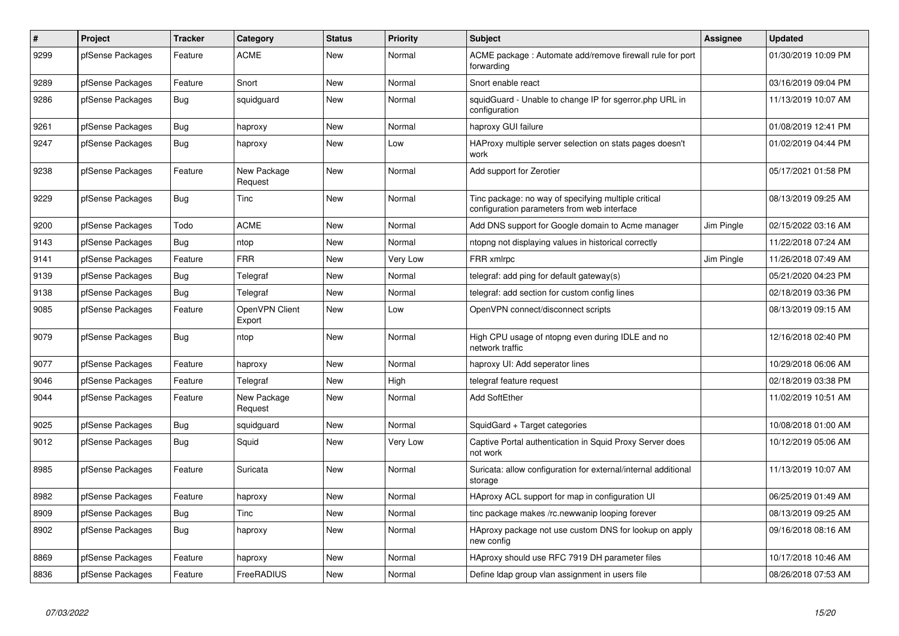| $\#$ | <b>Project</b>   | <b>Tracker</b> | Category                 | <b>Status</b> | Priority | <b>Subject</b>                                                                                      | <b>Assignee</b> | <b>Updated</b>      |
|------|------------------|----------------|--------------------------|---------------|----------|-----------------------------------------------------------------------------------------------------|-----------------|---------------------|
| 9299 | pfSense Packages | Feature        | <b>ACME</b>              | <b>New</b>    | Normal   | ACME package: Automate add/remove firewall rule for port<br>forwarding                              |                 | 01/30/2019 10:09 PM |
| 9289 | pfSense Packages | Feature        | Snort                    | <b>New</b>    | Normal   | Snort enable react                                                                                  |                 | 03/16/2019 09:04 PM |
| 9286 | pfSense Packages | <b>Bug</b>     | squidquard               | <b>New</b>    | Normal   | squidGuard - Unable to change IP for sgerror.php URL in<br>configuration                            |                 | 11/13/2019 10:07 AM |
| 9261 | pfSense Packages | <b>Bug</b>     | haproxy                  | <b>New</b>    | Normal   | haproxy GUI failure                                                                                 |                 | 01/08/2019 12:41 PM |
| 9247 | pfSense Packages | Bug            | haproxy                  | New           | Low      | HAProxy multiple server selection on stats pages doesn't<br>work                                    |                 | 01/02/2019 04:44 PM |
| 9238 | pfSense Packages | Feature        | New Package<br>Request   | New           | Normal   | Add support for Zerotier                                                                            |                 | 05/17/2021 01:58 PM |
| 9229 | pfSense Packages | Bug            | Tinc                     | <b>New</b>    | Normal   | Tinc package: no way of specifying multiple critical<br>configuration parameters from web interface |                 | 08/13/2019 09:25 AM |
| 9200 | pfSense Packages | Todo           | <b>ACME</b>              | <b>New</b>    | Normal   | Add DNS support for Google domain to Acme manager                                                   | Jim Pingle      | 02/15/2022 03:16 AM |
| 9143 | pfSense Packages | Bug            | ntop                     | <b>New</b>    | Normal   | ntopng not displaying values in historical correctly                                                |                 | 11/22/2018 07:24 AM |
| 9141 | pfSense Packages | Feature        | <b>FRR</b>               | New           | Very Low | FRR xmlrpc                                                                                          | Jim Pingle      | 11/26/2018 07:49 AM |
| 9139 | pfSense Packages | Bug            | Telegraf                 | <b>New</b>    | Normal   | telegraf: add ping for default gateway(s)                                                           |                 | 05/21/2020 04:23 PM |
| 9138 | pfSense Packages | Bug            | Telegraf                 | <b>New</b>    | Normal   | telegraf: add section for custom config lines                                                       |                 | 02/18/2019 03:36 PM |
| 9085 | pfSense Packages | Feature        | OpenVPN Client<br>Export | <b>New</b>    | Low      | OpenVPN connect/disconnect scripts                                                                  |                 | 08/13/2019 09:15 AM |
| 9079 | pfSense Packages | Bug            | ntop                     | <b>New</b>    | Normal   | High CPU usage of ntopng even during IDLE and no<br>network traffic                                 |                 | 12/16/2018 02:40 PM |
| 9077 | pfSense Packages | Feature        | haproxy                  | <b>New</b>    | Normal   | haproxy UI: Add seperator lines                                                                     |                 | 10/29/2018 06:06 AM |
| 9046 | pfSense Packages | Feature        | Telegraf                 | New           | High     | telegraf feature request                                                                            |                 | 02/18/2019 03:38 PM |
| 9044 | pfSense Packages | Feature        | New Package<br>Request   | New           | Normal   | <b>Add SoftEther</b>                                                                                |                 | 11/02/2019 10:51 AM |
| 9025 | pfSense Packages | Bug            | squidguard               | New           | Normal   | SquidGard + Target categories                                                                       |                 | 10/08/2018 01:00 AM |
| 9012 | pfSense Packages | Bug            | Squid                    | <b>New</b>    | Very Low | Captive Portal authentication in Squid Proxy Server does<br>not work                                |                 | 10/12/2019 05:06 AM |
| 8985 | pfSense Packages | Feature        | Suricata                 | <b>New</b>    | Normal   | Suricata: allow configuration for external/internal additional<br>storage                           |                 | 11/13/2019 10:07 AM |
| 8982 | pfSense Packages | Feature        | haproxy                  | New           | Normal   | HAproxy ACL support for map in configuration UI                                                     |                 | 06/25/2019 01:49 AM |
| 8909 | pfSense Packages | <b>Bug</b>     | Tinc                     | <b>New</b>    | Normal   | tinc package makes /rc.newwanip looping forever                                                     |                 | 08/13/2019 09:25 AM |
| 8902 | pfSense Packages | <b>Bug</b>     | haproxy                  | <b>New</b>    | Normal   | HAproxy package not use custom DNS for lookup on apply<br>new config                                |                 | 09/16/2018 08:16 AM |
| 8869 | pfSense Packages | Feature        | haproxy                  | New           | Normal   | HAproxy should use RFC 7919 DH parameter files                                                      |                 | 10/17/2018 10:46 AM |
| 8836 | pfSense Packages | Feature        | FreeRADIUS               | <b>New</b>    | Normal   | Define Idap group vlan assignment in users file                                                     |                 | 08/26/2018 07:53 AM |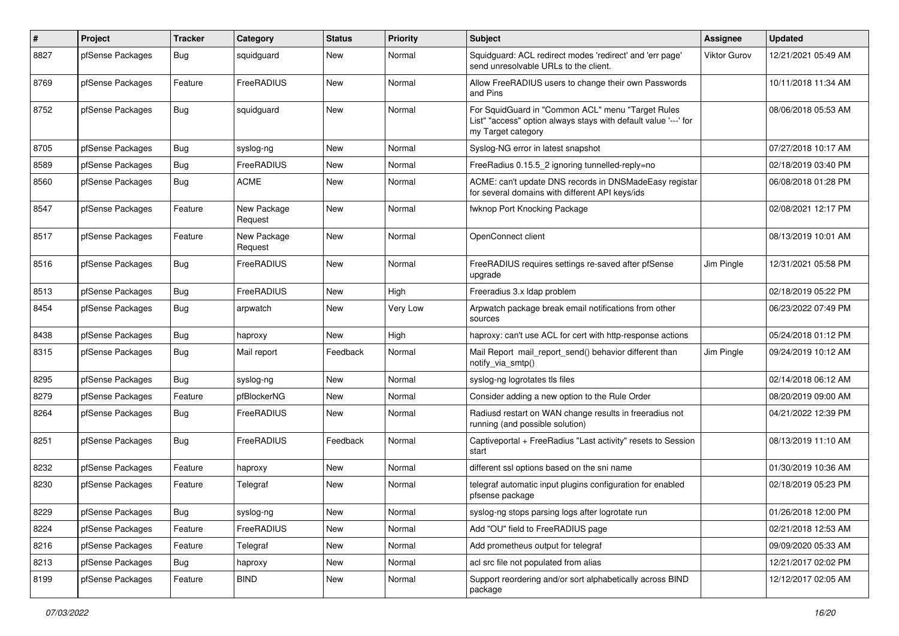| #    | Project          | <b>Tracker</b> | Category               | <b>Status</b> | <b>Priority</b> | Subject                                                                                                                                    | <b>Assignee</b> | <b>Updated</b>      |
|------|------------------|----------------|------------------------|---------------|-----------------|--------------------------------------------------------------------------------------------------------------------------------------------|-----------------|---------------------|
| 8827 | pfSense Packages | <b>Bug</b>     | squidguard             | New           | Normal          | Squidguard: ACL redirect modes 'redirect' and 'err page'<br>send unresolvable URLs to the client.                                          | Viktor Gurov    | 12/21/2021 05:49 AM |
| 8769 | pfSense Packages | Feature        | FreeRADIUS             | New           | Normal          | Allow FreeRADIUS users to change their own Passwords<br>and Pins                                                                           |                 | 10/11/2018 11:34 AM |
| 8752 | pfSense Packages | Bug            | squidguard             | <b>New</b>    | Normal          | For SquidGuard in "Common ACL" menu "Target Rules<br>List" "access" option always stays with default value '---' for<br>my Target category |                 | 08/06/2018 05:53 AM |
| 8705 | pfSense Packages | <b>Bug</b>     | syslog-ng              | <b>New</b>    | Normal          | Syslog-NG error in latest snapshot                                                                                                         |                 | 07/27/2018 10:17 AM |
| 8589 | pfSense Packages | <b>Bug</b>     | FreeRADIUS             | New           | Normal          | FreeRadius 0.15.5_2 ignoring tunnelled-reply=no                                                                                            |                 | 02/18/2019 03:40 PM |
| 8560 | pfSense Packages | Bug            | <b>ACME</b>            | New           | Normal          | ACME: can't update DNS records in DNSMadeEasy registar<br>for several domains with different API keys/ids                                  |                 | 06/08/2018 01:28 PM |
| 8547 | pfSense Packages | Feature        | New Package<br>Request | New           | Normal          | fwknop Port Knocking Package                                                                                                               |                 | 02/08/2021 12:17 PM |
| 8517 | pfSense Packages | Feature        | New Package<br>Request | New           | Normal          | OpenConnect client                                                                                                                         |                 | 08/13/2019 10:01 AM |
| 8516 | pfSense Packages | Bug            | FreeRADIUS             | <b>New</b>    | Normal          | FreeRADIUS requires settings re-saved after pfSense<br>upgrade                                                                             | Jim Pingle      | 12/31/2021 05:58 PM |
| 8513 | pfSense Packages | Bug            | FreeRADIUS             | <b>New</b>    | High            | Freeradius 3.x Idap problem                                                                                                                |                 | 02/18/2019 05:22 PM |
| 8454 | pfSense Packages | Bug            | arpwatch               | New           | Very Low        | Arpwatch package break email notifications from other<br>sources                                                                           |                 | 06/23/2022 07:49 PM |
| 8438 | pfSense Packages | <b>Bug</b>     | haproxy                | New           | High            | haproxy: can't use ACL for cert with http-response actions                                                                                 |                 | 05/24/2018 01:12 PM |
| 8315 | pfSense Packages | <b>Bug</b>     | Mail report            | Feedback      | Normal          | Mail Report mail report send() behavior different than<br>notify_via_smtp()                                                                | Jim Pingle      | 09/24/2019 10:12 AM |
| 8295 | pfSense Packages | Bug            | syslog-ng              | <b>New</b>    | Normal          | syslog-ng logrotates tls files                                                                                                             |                 | 02/14/2018 06:12 AM |
| 8279 | pfSense Packages | Feature        | pfBlockerNG            | New           | Normal          | Consider adding a new option to the Rule Order                                                                                             |                 | 08/20/2019 09:00 AM |
| 8264 | pfSense Packages | <b>Bug</b>     | FreeRADIUS             | New           | Normal          | Radiusd restart on WAN change results in freeradius not<br>running (and possible solution)                                                 |                 | 04/21/2022 12:39 PM |
| 8251 | pfSense Packages | Bug            | FreeRADIUS             | Feedback      | Normal          | Captiveportal + FreeRadius "Last activity" resets to Session<br>start                                                                      |                 | 08/13/2019 11:10 AM |
| 8232 | pfSense Packages | Feature        | haproxy                | New           | Normal          | different ssl options based on the sni name                                                                                                |                 | 01/30/2019 10:36 AM |
| 8230 | pfSense Packages | Feature        | Telegraf               | New           | Normal          | telegraf automatic input plugins configuration for enabled<br>pfsense package                                                              |                 | 02/18/2019 05:23 PM |
| 8229 | pfSense Packages | <b>Bug</b>     | syslog-ng              | New           | Normal          | syslog-ng stops parsing logs after logrotate run                                                                                           |                 | 01/26/2018 12:00 PM |
| 8224 | pfSense Packages | Feature        | FreeRADIUS             | New           | Normal          | Add "OU" field to FreeRADIUS page                                                                                                          |                 | 02/21/2018 12:53 AM |
| 8216 | pfSense Packages | Feature        | Telegraf               | New           | Normal          | Add prometheus output for telegraf                                                                                                         |                 | 09/09/2020 05:33 AM |
| 8213 | pfSense Packages | Bug            | haproxy                | New           | Normal          | acl src file not populated from alias                                                                                                      |                 | 12/21/2017 02:02 PM |
| 8199 | pfSense Packages | Feature        | <b>BIND</b>            | New           | Normal          | Support reordering and/or sort alphabetically across BIND<br>package                                                                       |                 | 12/12/2017 02:05 AM |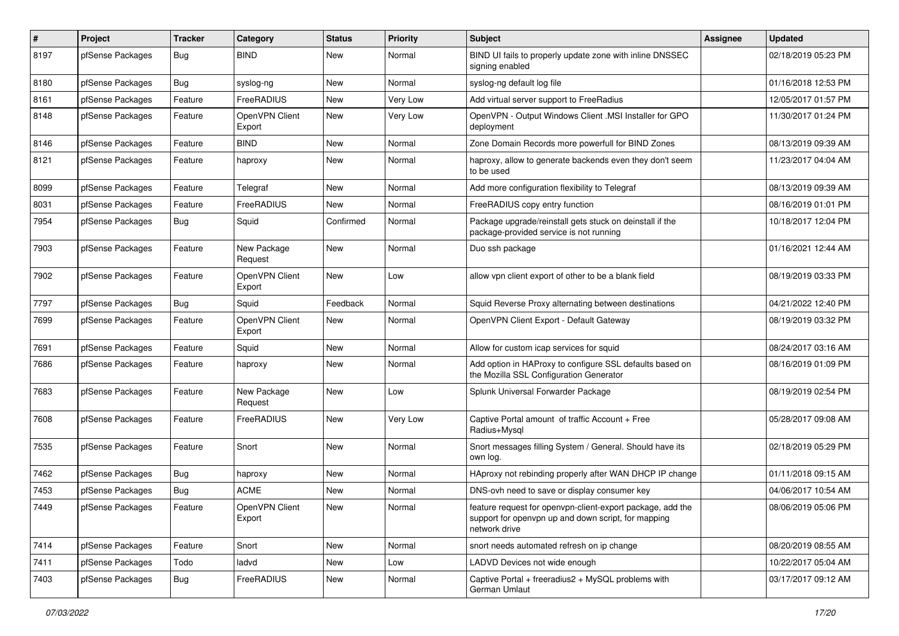| $\pmb{\#}$ | Project          | <b>Tracker</b> | Category                 | <b>Status</b> | <b>Priority</b> | <b>Subject</b>                                                                                                                     | <b>Assignee</b> | <b>Updated</b>      |
|------------|------------------|----------------|--------------------------|---------------|-----------------|------------------------------------------------------------------------------------------------------------------------------------|-----------------|---------------------|
| 8197       | pfSense Packages | <b>Bug</b>     | <b>BIND</b>              | New           | Normal          | BIND UI fails to properly update zone with inline DNSSEC<br>signing enabled                                                        |                 | 02/18/2019 05:23 PM |
| 8180       | pfSense Packages | <b>Bug</b>     | syslog-ng                | New           | Normal          | syslog-ng default log file                                                                                                         |                 | 01/16/2018 12:53 PM |
| 8161       | pfSense Packages | Feature        | FreeRADIUS               | New           | Very Low        | Add virtual server support to FreeRadius                                                                                           |                 | 12/05/2017 01:57 PM |
| 8148       | pfSense Packages | Feature        | OpenVPN Client<br>Export | <b>New</b>    | Very Low        | OpenVPN - Output Windows Client .MSI Installer for GPO<br>deployment                                                               |                 | 11/30/2017 01:24 PM |
| 8146       | pfSense Packages | Feature        | <b>BIND</b>              | New           | Normal          | Zone Domain Records more powerfull for BIND Zones                                                                                  |                 | 08/13/2019 09:39 AM |
| 8121       | pfSense Packages | Feature        | haproxy                  | New           | Normal          | haproxy, allow to generate backends even they don't seem<br>to be used                                                             |                 | 11/23/2017 04:04 AM |
| 8099       | pfSense Packages | Feature        | Telegraf                 | <b>New</b>    | Normal          | Add more configuration flexibility to Telegraf                                                                                     |                 | 08/13/2019 09:39 AM |
| 8031       | pfSense Packages | Feature        | FreeRADIUS               | New           | Normal          | FreeRADIUS copy entry function                                                                                                     |                 | 08/16/2019 01:01 PM |
| 7954       | pfSense Packages | Bug            | Squid                    | Confirmed     | Normal          | Package upgrade/reinstall gets stuck on deinstall if the<br>package-provided service is not running                                |                 | 10/18/2017 12:04 PM |
| 7903       | pfSense Packages | Feature        | New Package<br>Request   | New           | Normal          | Duo ssh package                                                                                                                    |                 | 01/16/2021 12:44 AM |
| 7902       | pfSense Packages | Feature        | OpenVPN Client<br>Export | <b>New</b>    | Low             | allow vpn client export of other to be a blank field                                                                               |                 | 08/19/2019 03:33 PM |
| 7797       | pfSense Packages | Bug            | Squid                    | Feedback      | Normal          | Squid Reverse Proxy alternating between destinations                                                                               |                 | 04/21/2022 12:40 PM |
| 7699       | pfSense Packages | Feature        | OpenVPN Client<br>Export | New           | Normal          | OpenVPN Client Export - Default Gateway                                                                                            |                 | 08/19/2019 03:32 PM |
| 7691       | pfSense Packages | Feature        | Squid                    | <b>New</b>    | Normal          | Allow for custom icap services for squid                                                                                           |                 | 08/24/2017 03:16 AM |
| 7686       | pfSense Packages | Feature        | haproxy                  | New           | Normal          | Add option in HAProxy to configure SSL defaults based on<br>the Mozilla SSL Configuration Generator                                |                 | 08/16/2019 01:09 PM |
| 7683       | pfSense Packages | Feature        | New Package<br>Request   | <b>New</b>    | Low             | Splunk Universal Forwarder Package                                                                                                 |                 | 08/19/2019 02:54 PM |
| 7608       | pfSense Packages | Feature        | FreeRADIUS               | New           | Very Low        | Captive Portal amount of traffic Account + Free<br>Radius+Mysgl                                                                    |                 | 05/28/2017 09:08 AM |
| 7535       | pfSense Packages | Feature        | Snort                    | New           | Normal          | Snort messages filling System / General. Should have its<br>own log.                                                               |                 | 02/18/2019 05:29 PM |
| 7462       | pfSense Packages | Bug            | haproxy                  | New           | Normal          | HAproxy not rebinding properly after WAN DHCP IP change                                                                            |                 | 01/11/2018 09:15 AM |
| 7453       | pfSense Packages | <b>Bug</b>     | <b>ACME</b>              | New           | Normal          | DNS-ovh need to save or display consumer key                                                                                       |                 | 04/06/2017 10:54 AM |
| 7449       | pfSense Packages | Feature        | OpenVPN Client<br>Export | New           | Normal          | feature request for openvpn-client-export package, add the<br>support for openvpn up and down script, for mapping<br>network drive |                 | 08/06/2019 05:06 PM |
| 7414       | pfSense Packages | Feature        | Snort                    | New           | Normal          | snort needs automated refresh on ip change                                                                                         |                 | 08/20/2019 08:55 AM |
| 7411       | pfSense Packages | Todo           | ladvd                    | New           | Low             | LADVD Devices not wide enough                                                                                                      |                 | 10/22/2017 05:04 AM |
| 7403       | pfSense Packages | Bug            | FreeRADIUS               | New           | Normal          | Captive Portal + freeradius2 + MySQL problems with<br>German Umlaut                                                                |                 | 03/17/2017 09:12 AM |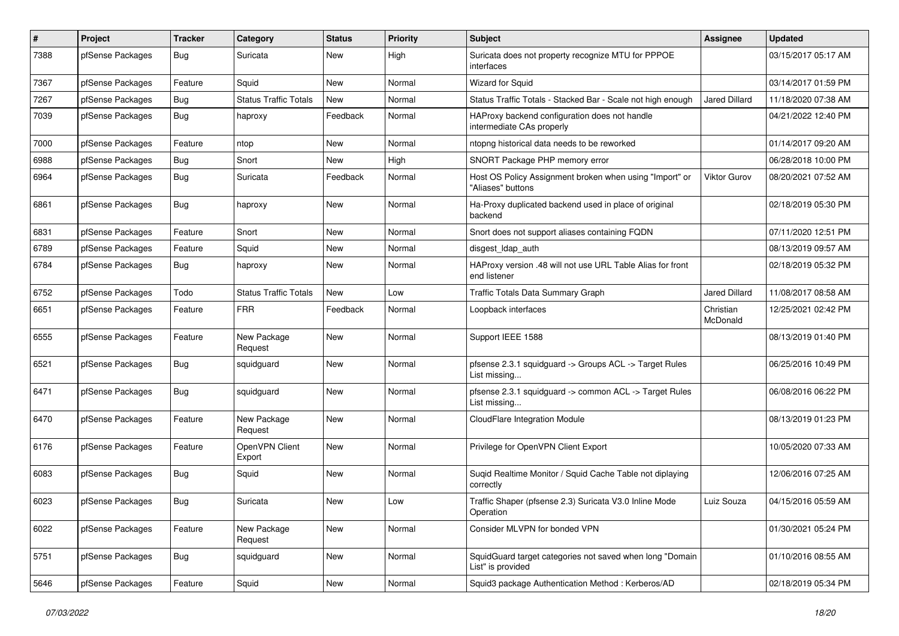| $\pmb{\#}$ | Project          | <b>Tracker</b> | Category                     | <b>Status</b> | <b>Priority</b> | <b>Subject</b>                                                                | <b>Assignee</b>       | <b>Updated</b>      |
|------------|------------------|----------------|------------------------------|---------------|-----------------|-------------------------------------------------------------------------------|-----------------------|---------------------|
| 7388       | pfSense Packages | <b>Bug</b>     | Suricata                     | New           | High            | Suricata does not property recognize MTU for PPPOE<br>interfaces              |                       | 03/15/2017 05:17 AM |
| 7367       | pfSense Packages | Feature        | Squid                        | New           | Normal          | Wizard for Squid                                                              |                       | 03/14/2017 01:59 PM |
| 7267       | pfSense Packages | Bug            | <b>Status Traffic Totals</b> | <b>New</b>    | Normal          | Status Traffic Totals - Stacked Bar - Scale not high enough                   | Jared Dillard         | 11/18/2020 07:38 AM |
| 7039       | pfSense Packages | Bug            | haproxy                      | Feedback      | Normal          | HAProxy backend configuration does not handle<br>intermediate CAs properly    |                       | 04/21/2022 12:40 PM |
| 7000       | pfSense Packages | Feature        | ntop                         | New           | Normal          | ntopng historical data needs to be reworked                                   |                       | 01/14/2017 09:20 AM |
| 6988       | pfSense Packages | Bug            | Snort                        | New           | High            | SNORT Package PHP memory error                                                |                       | 06/28/2018 10:00 PM |
| 6964       | pfSense Packages | Bug            | Suricata                     | Feedback      | Normal          | Host OS Policy Assignment broken when using "Import" or<br>"Aliases" buttons  | <b>Viktor Gurov</b>   | 08/20/2021 07:52 AM |
| 6861       | pfSense Packages | Bug            | haproxy                      | New           | Normal          | Ha-Proxy duplicated backend used in place of original<br>backend              |                       | 02/18/2019 05:30 PM |
| 6831       | pfSense Packages | Feature        | Snort                        | <b>New</b>    | Normal          | Snort does not support aliases containing FQDN                                |                       | 07/11/2020 12:51 PM |
| 6789       | pfSense Packages | Feature        | Squid                        | New           | Normal          | disgest Idap auth                                                             |                       | 08/13/2019 09:57 AM |
| 6784       | pfSense Packages | Bug            | haproxy                      | New           | Normal          | HAProxy version .48 will not use URL Table Alias for front<br>end listener    |                       | 02/18/2019 05:32 PM |
| 6752       | pfSense Packages | Todo           | <b>Status Traffic Totals</b> | <b>New</b>    | Low             | Traffic Totals Data Summary Graph                                             | <b>Jared Dillard</b>  | 11/08/2017 08:58 AM |
| 6651       | pfSense Packages | Feature        | <b>FRR</b>                   | Feedback      | Normal          | Loopback interfaces                                                           | Christian<br>McDonald | 12/25/2021 02:42 PM |
| 6555       | pfSense Packages | Feature        | New Package<br>Request       | New           | Normal          | Support IEEE 1588                                                             |                       | 08/13/2019 01:40 PM |
| 6521       | pfSense Packages | Bug            | squidguard                   | <b>New</b>    | Normal          | pfsense 2.3.1 squidguard -> Groups ACL -> Target Rules<br>List missing        |                       | 06/25/2016 10:49 PM |
| 6471       | pfSense Packages | Bug            | squidguard                   | New           | Normal          | pfsense 2.3.1 squidguard -> common ACL -> Target Rules<br>List missing        |                       | 06/08/2016 06:22 PM |
| 6470       | pfSense Packages | Feature        | New Package<br>Request       | <b>New</b>    | Normal          | CloudFlare Integration Module                                                 |                       | 08/13/2019 01:23 PM |
| 6176       | pfSense Packages | Feature        | OpenVPN Client<br>Export     | <b>New</b>    | Normal          | Privilege for OpenVPN Client Export                                           |                       | 10/05/2020 07:33 AM |
| 6083       | pfSense Packages | Bug            | Squid                        | New           | Normal          | Suqid Realtime Monitor / Squid Cache Table not diplaying<br>correctly         |                       | 12/06/2016 07:25 AM |
| 6023       | pfSense Packages | <b>Bug</b>     | Suricata                     | New           | Low             | Traffic Shaper (pfsense 2.3) Suricata V3.0 Inline Mode<br>Operation           | Luiz Souza            | 04/15/2016 05:59 AM |
| 6022       | pfSense Packages | Feature        | New Package<br>Request       | <b>New</b>    | Normal          | Consider MLVPN for bonded VPN                                                 |                       | 01/30/2021 05:24 PM |
| 5751       | pfSense Packages | <b>Bug</b>     | squidguard                   | New           | Normal          | SquidGuard target categories not saved when long "Domain<br>List" is provided |                       | 01/10/2016 08:55 AM |
| 5646       | pfSense Packages | Feature        | Squid                        | New           | Normal          | Squid3 package Authentication Method: Kerberos/AD                             |                       | 02/18/2019 05:34 PM |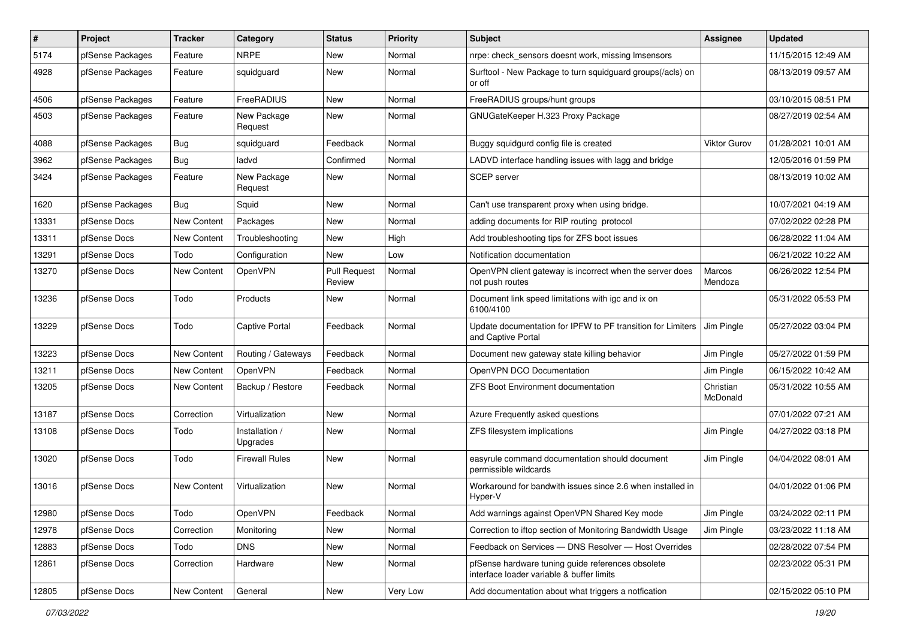| $\sharp$ | Project          | <b>Tracker</b>     | Category                   | <b>Status</b>                 | <b>Priority</b> | Subject                                                                                        | Assignee              | <b>Updated</b>      |
|----------|------------------|--------------------|----------------------------|-------------------------------|-----------------|------------------------------------------------------------------------------------------------|-----------------------|---------------------|
| 5174     | pfSense Packages | Feature            | <b>NRPE</b>                | New                           | Normal          | nrpe: check sensors doesnt work, missing Imsensors                                             |                       | 11/15/2015 12:49 AM |
| 4928     | pfSense Packages | Feature            | squidguard                 | New                           | Normal          | Surftool - New Package to turn squidguard groups(/acls) on<br>or off                           |                       | 08/13/2019 09:57 AM |
| 4506     | pfSense Packages | Feature            | FreeRADIUS                 | <b>New</b>                    | Normal          | FreeRADIUS groups/hunt groups                                                                  |                       | 03/10/2015 08:51 PM |
| 4503     | pfSense Packages | Feature            | New Package<br>Request     | <b>New</b>                    | Normal          | GNUGateKeeper H.323 Proxy Package                                                              |                       | 08/27/2019 02:54 AM |
| 4088     | pfSense Packages | Bug                | squidguard                 | Feedback                      | Normal          | Buggy squidgurd config file is created                                                         | Viktor Gurov          | 01/28/2021 10:01 AM |
| 3962     | pfSense Packages | <b>Bug</b>         | ladvd                      | Confirmed                     | Normal          | LADVD interface handling issues with lagg and bridge                                           |                       | 12/05/2016 01:59 PM |
| 3424     | pfSense Packages | Feature            | New Package<br>Request     | New                           | Normal          | <b>SCEP</b> server                                                                             |                       | 08/13/2019 10:02 AM |
| 1620     | pfSense Packages | Bug                | Squid                      | New                           | Normal          | Can't use transparent proxy when using bridge.                                                 |                       | 10/07/2021 04:19 AM |
| 13331    | pfSense Docs     | New Content        | Packages                   | New                           | Normal          | adding documents for RIP routing protocol                                                      |                       | 07/02/2022 02:28 PM |
| 13311    | pfSense Docs     | <b>New Content</b> | Troubleshooting            | <b>New</b>                    | High            | Add troubleshooting tips for ZFS boot issues                                                   |                       | 06/28/2022 11:04 AM |
| 13291    | pfSense Docs     | Todo               | Configuration              | New                           | Low             | Notification documentation                                                                     |                       | 06/21/2022 10:22 AM |
| 13270    | pfSense Docs     | New Content        | <b>OpenVPN</b>             | <b>Pull Request</b><br>Review | Normal          | OpenVPN client gateway is incorrect when the server does<br>not push routes                    | Marcos<br>Mendoza     | 06/26/2022 12:54 PM |
| 13236    | pfSense Docs     | Todo               | Products                   | New                           | Normal          | Document link speed limitations with igc and ix on<br>6100/4100                                |                       | 05/31/2022 05:53 PM |
| 13229    | pfSense Docs     | Todo               | <b>Captive Portal</b>      | Feedback                      | Normal          | Update documentation for IPFW to PF transition for Limiters<br>and Captive Portal              | Jim Pingle            | 05/27/2022 03:04 PM |
| 13223    | pfSense Docs     | New Content        | Routing / Gateways         | Feedback                      | Normal          | Document new gateway state killing behavior                                                    | Jim Pingle            | 05/27/2022 01:59 PM |
| 13211    | pfSense Docs     | <b>New Content</b> | <b>OpenVPN</b>             | Feedback                      | Normal          | OpenVPN DCO Documentation                                                                      | Jim Pingle            | 06/15/2022 10:42 AM |
| 13205    | pfSense Docs     | New Content        | Backup / Restore           | Feedback                      | Normal          | <b>ZFS Boot Environment documentation</b>                                                      | Christian<br>McDonald | 05/31/2022 10:55 AM |
| 13187    | pfSense Docs     | Correction         | Virtualization             | <b>New</b>                    | Normal          | Azure Frequently asked questions                                                               |                       | 07/01/2022 07:21 AM |
| 13108    | pfSense Docs     | Todo               | Installation /<br>Upgrades | New                           | Normal          | ZFS filesystem implications                                                                    | Jim Pingle            | 04/27/2022 03:18 PM |
| 13020    | pfSense Docs     | Todo               | <b>Firewall Rules</b>      | New                           | Normal          | easyrule command documentation should document<br>permissible wildcards                        | Jim Pingle            | 04/04/2022 08:01 AM |
| 13016    | pfSense Docs     | <b>New Content</b> | Virtualization             | New                           | Normal          | Workaround for bandwith issues since 2.6 when installed in<br>Hyper-V                          |                       | 04/01/2022 01:06 PM |
| 12980    | pfSense Docs     | Todo               | OpenVPN                    | Feedback                      | Normal          | Add warnings against OpenVPN Shared Key mode                                                   | Jim Pingle            | 03/24/2022 02:11 PM |
| 12978    | pfSense Docs     | Correction         | Monitoring                 | New                           | Normal          | Correction to iftop section of Monitoring Bandwidth Usage                                      | Jim Pingle            | 03/23/2022 11:18 AM |
| 12883    | pfSense Docs     | Todo               | <b>DNS</b>                 | New                           | Normal          | Feedback on Services - DNS Resolver - Host Overrides                                           |                       | 02/28/2022 07:54 PM |
| 12861    | pfSense Docs     | Correction         | Hardware                   | New                           | Normal          | pfSense hardware tuning guide references obsolete<br>interface loader variable & buffer limits |                       | 02/23/2022 05:31 PM |
| 12805    | pfSense Docs     | <b>New Content</b> | General                    | New                           | Very Low        | Add documentation about what triggers a notfication                                            |                       | 02/15/2022 05:10 PM |